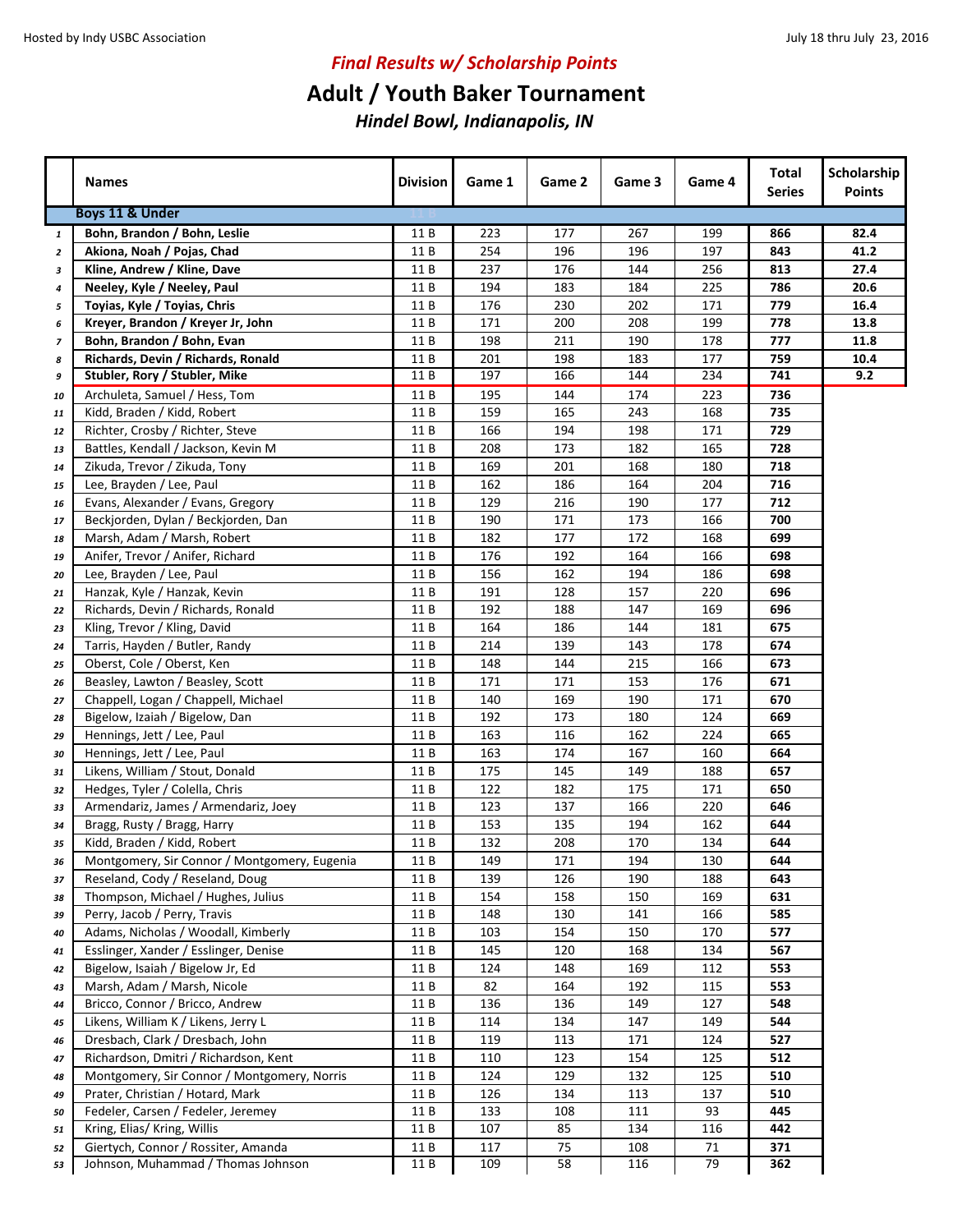## **Adult / Youth Baker Tournament**

|                          | <b>Names</b>                                 | <b>Division</b> | Game 1 | Game 2 | Game 3 | Game 4 | Total<br><b>Series</b> | Scholarship<br><b>Points</b> |
|--------------------------|----------------------------------------------|-----------------|--------|--------|--------|--------|------------------------|------------------------------|
|                          | Boys 11 & Under                              |                 |        |        |        |        |                        |                              |
| $\mathbf{1}$             | Bohn, Brandon / Bohn, Leslie                 | 11 B            | 223    | 177    | 267    | 199    | 866                    | 82.4                         |
| $\overline{z}$           | Akiona, Noah / Pojas, Chad                   | 11 B            | 254    | 196    | 196    | 197    | 843                    | 41.2                         |
| з                        | Kline, Andrew / Kline, Dave                  | 11 B            | 237    | 176    | 144    | 256    | 813                    | 27.4                         |
| 4                        | Neeley, Kyle / Neeley, Paul                  | 11 B            | 194    | 183    | 184    | 225    | 786                    | 20.6                         |
| 5                        | Toyias, Kyle / Toyias, Chris                 | 11 B            | 176    | 230    | 202    | 171    | 779                    | 16.4                         |
| 6                        | Kreyer, Brandon / Kreyer Jr, John            | 11 B            | 171    | 200    | 208    | 199    | 778                    | 13.8                         |
| $\overline{\phantom{a}}$ | Bohn, Brandon / Bohn, Evan                   | 11 B            | 198    | 211    | 190    | 178    | 777                    | 11.8                         |
| 8                        | Richards, Devin / Richards, Ronald           | 11 B            | 201    | 198    | 183    | 177    | 759                    | 10.4                         |
| 9                        | Stubler, Rory / Stubler, Mike                | 11 B            | 197    | 166    | 144    | 234    | 741                    | 9.2                          |
| 10                       | Archuleta, Samuel / Hess, Tom                | 11B             | 195    | 144    | 174    | 223    | 736                    |                              |
| 11                       | Kidd, Braden / Kidd, Robert                  | 11B             | 159    | 165    | 243    | 168    | 735                    |                              |
| 12                       | Richter, Crosby / Richter, Steve             | 11 B            | 166    | 194    | 198    | 171    | 729                    |                              |
| 13                       | Battles, Kendall / Jackson, Kevin M          | 11B             | 208    | 173    | 182    | 165    | 728                    |                              |
| 14                       | Zikuda, Trevor / Zikuda, Tony                | 11B             | 169    | 201    | 168    | 180    | 718                    |                              |
| 15                       | Lee, Brayden / Lee, Paul                     | 11 B            | 162    | 186    | 164    | 204    | 716                    |                              |
| 16                       | Evans, Alexander / Evans, Gregory            | 11B             | 129    | 216    | 190    | 177    | 712                    |                              |
| 17                       | Beckjorden, Dylan / Beckjorden, Dan          | 11 B            | 190    | 171    | 173    | 166    | 700                    |                              |
| 18                       | Marsh, Adam / Marsh, Robert                  | 11 B            | 182    | 177    | 172    | 168    | 699                    |                              |
| 19                       | Anifer, Trevor / Anifer, Richard             | 11 B            | 176    | 192    | 164    | 166    | 698                    |                              |
| 20                       | Lee, Brayden / Lee, Paul                     | 11 B            | 156    | 162    | 194    | 186    | 698                    |                              |
| 21                       | Hanzak, Kyle / Hanzak, Kevin                 | 11 B            | 191    | 128    | 157    | 220    | 696                    |                              |
| 22                       | Richards, Devin / Richards, Ronald           | 11 B            | 192    | 188    | 147    | 169    | 696                    |                              |
| 23                       | Kling, Trevor / Kling, David                 | 11 B            | 164    | 186    | 144    | 181    | 675                    |                              |
| 24                       | Tarris, Hayden / Butler, Randy               | 11 B            | 214    | 139    | 143    | 178    | 674                    |                              |
| 25                       | Oberst, Cole / Oberst, Ken                   | 11 B            | 148    | 144    | 215    | 166    | 673                    |                              |
| 26                       | Beasley, Lawton / Beasley, Scott             | 11 B            | 171    | 171    | 153    | 176    | 671                    |                              |
| 27                       | Chappell, Logan / Chappell, Michael          | 11 B            | 140    | 169    | 190    | 171    | 670                    |                              |
| 28                       | Bigelow, Izaiah / Bigelow, Dan               | 11 B            | 192    | 173    | 180    | 124    | 669                    |                              |
| 29                       | Hennings, Jett / Lee, Paul                   | 11 B            | 163    | 116    | 162    | 224    | 665                    |                              |
| 30                       | Hennings, Jett / Lee, Paul                   | 11 B            | 163    | 174    | 167    | 160    | 664                    |                              |
| 31                       | Likens, William / Stout, Donald              | 11B             | 175    | 145    | 149    | 188    | 657                    |                              |
| 32                       | Hedges, Tyler / Colella, Chris               | 11 B            | 122    | 182    | 175    | 171    | 650                    |                              |
| 33                       | Armendariz, James / Armendariz, Joey         | 11 B            | 123    | 137    | 166    | 220    | 646                    |                              |
| 34                       | Bragg, Rusty / Bragg, Harry                  | 11 B            | 153    | 135    | 194    | 162    | 644                    |                              |
| 35                       | Kidd, Braden / Kidd, Robert                  | 11 B            | 132    | 208    | 170    | 134    | 644                    |                              |
| 36                       | Montgomery, Sir Connor / Montgomery, Eugenia | 11 B            | 149    | 171    | 194    | 130    | 644                    |                              |
| 37                       | Reseland, Cody / Reseland, Doug              | 11 B            | 139    | 126    | 190    | 188    | 643                    |                              |
| 38                       | Thompson, Michael / Hughes, Julius           | 11 B            | 154    | 158    | 150    | 169    | 631                    |                              |
| 39                       | Perry, Jacob / Perry, Travis                 | 11 B            | 148    | 130    | 141    | 166    | 585                    |                              |
| 40                       | Adams, Nicholas / Woodall, Kimberly          | 11 B            | 103    | 154    | 150    | 170    | 577                    |                              |
| 41                       | Esslinger, Xander / Esslinger, Denise        | 11 B            | 145    | 120    | 168    | 134    | 567                    |                              |
| 42                       | Bigelow, Isaiah / Bigelow Jr, Ed             | 11 B            | 124    | 148    | 169    | 112    | 553                    |                              |
| 43                       | Marsh, Adam / Marsh, Nicole                  | 11B             | 82     | 164    | 192    | 115    | 553                    |                              |
| 44                       | Bricco, Connor / Bricco, Andrew              | 11 B            | 136    | 136    | 149    | 127    | 548                    |                              |
| 45                       | Likens, William K / Likens, Jerry L          | 11 B            | 114    | 134    | 147    | 149    | 544                    |                              |
| 46                       | Dresbach, Clark / Dresbach, John             | 11 B            | 119    | 113    | 171    | 124    | 527                    |                              |
| 47                       | Richardson, Dmitri / Richardson, Kent        | 11B             | 110    | 123    | 154    | 125    | 512                    |                              |
| 48                       | Montgomery, Sir Connor / Montgomery, Norris  | 11 B            | 124    | 129    | 132    | 125    | 510                    |                              |
| 49                       | Prater, Christian / Hotard, Mark             | 11 B            | 126    | 134    | 113    | 137    | 510                    |                              |
| 50                       | Fedeler, Carsen / Fedeler, Jeremey           | 11 B            | 133    | 108    | 111    | 93     | 445                    |                              |
| 51                       | Kring, Elias/ Kring, Willis                  | 11 B            | 107    | 85     | 134    | 116    | 442                    |                              |
| 52                       | Giertych, Connor / Rossiter, Amanda          | 11 B            | 117    | 75     | 108    | 71     | 371                    |                              |
| 53                       | Johnson, Muhammad / Thomas Johnson           | 11B             | 109    | 58     | 116    | 79     | 362                    |                              |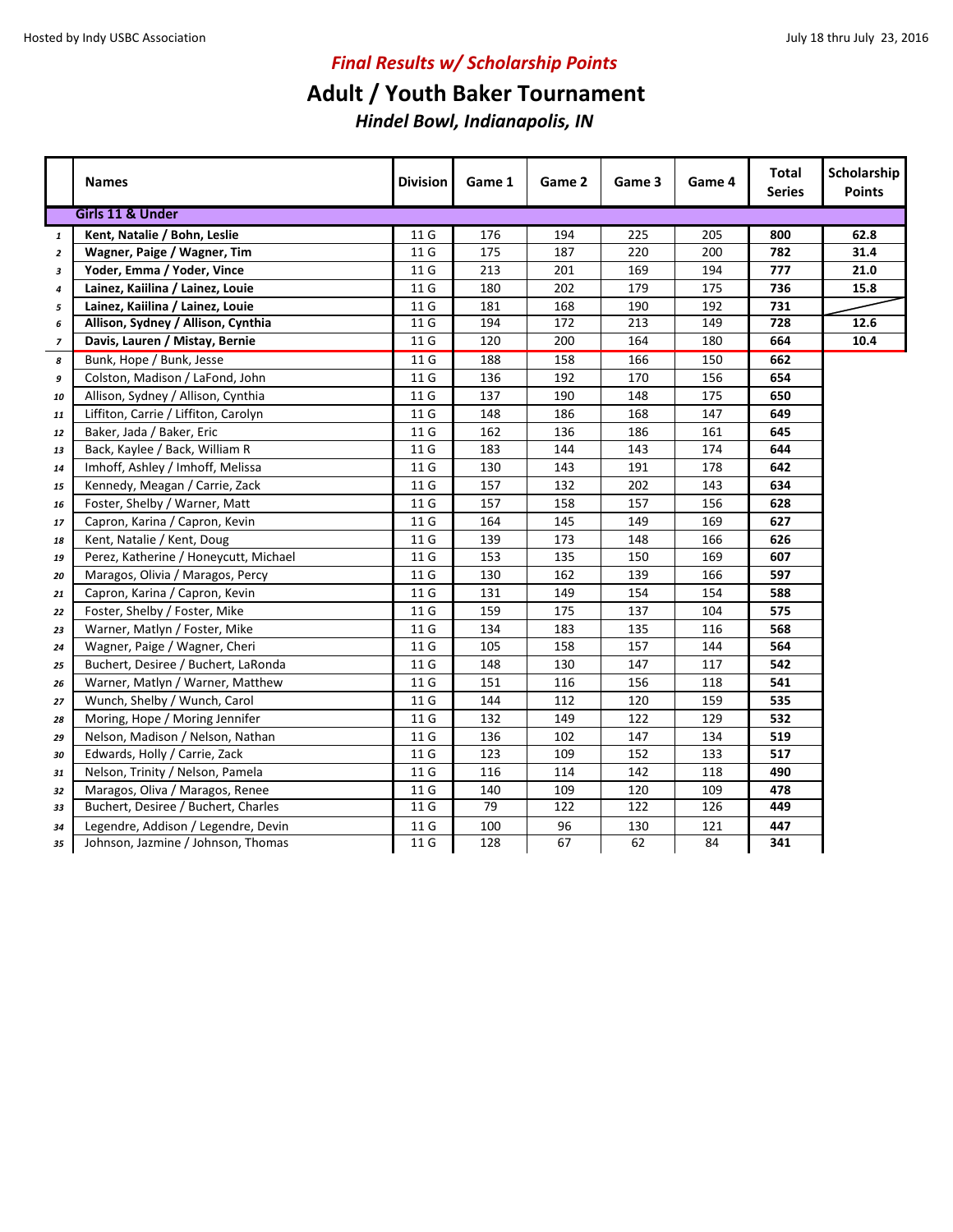### **Adult / Youth Baker Tournament**

|                          | <b>Names</b>                          | <b>Division</b> | Game 1 | Game 2 | Game 3 | Game 4 | Total<br><b>Series</b> | Scholarship<br><b>Points</b> |
|--------------------------|---------------------------------------|-----------------|--------|--------|--------|--------|------------------------|------------------------------|
|                          | Girls 11 & Under                      |                 |        |        |        |        |                        |                              |
| $\mathbf{1}$             | Kent, Natalie / Bohn, Leslie          | 11 G            | 176    | 194    | 225    | 205    | 800                    | 62.8                         |
| $\overline{2}$           | Wagner, Paige / Wagner, Tim           | 11 G            | 175    | 187    | 220    | 200    | 782                    | 31.4                         |
| 3                        | Yoder, Emma / Yoder, Vince            | 11 G            | 213    | 201    | 169    | 194    | 777                    | 21.0                         |
| 4                        | Lainez, Kaiilina / Lainez, Louie      | 11 G            | 180    | 202    | 179    | 175    | 736                    | 15.8                         |
| 5                        | Lainez, Kaiilina / Lainez, Louie      | 11 G            | 181    | 168    | 190    | 192    | 731                    |                              |
| 6                        | Allison, Sydney / Allison, Cynthia    | 11 G            | 194    | 172    | 213    | 149    | 728                    | 12.6                         |
| $\overline{\phantom{a}}$ | Davis, Lauren / Mistay, Bernie        | 11 G            | 120    | 200    | 164    | 180    | 664                    | 10.4                         |
| 8                        | Bunk, Hope / Bunk, Jesse              | 11 G            | 188    | 158    | 166    | 150    | 662                    |                              |
| 9                        | Colston, Madison / LaFond, John       | 11 G            | 136    | 192    | 170    | 156    | 654                    |                              |
| 10                       | Allison, Sydney / Allison, Cynthia    | 11 G            | 137    | 190    | 148    | 175    | 650                    |                              |
| 11                       | Liffiton, Carrie / Liffiton, Carolyn  | 11 G            | 148    | 186    | 168    | 147    | 649                    |                              |
| 12                       | Baker, Jada / Baker, Eric             | 11 G            | 162    | 136    | 186    | 161    | 645                    |                              |
| 13                       | Back, Kaylee / Back, William R        | 11 G            | 183    | 144    | 143    | 174    | 644                    |                              |
| 14                       | Imhoff, Ashley / Imhoff, Melissa      | 11 G            | 130    | 143    | 191    | 178    | 642                    |                              |
| 15                       | Kennedy, Meagan / Carrie, Zack        | 11 G            | 157    | 132    | 202    | 143    | 634                    |                              |
| 16                       | Foster, Shelby / Warner, Matt         | 11 G            | 157    | 158    | 157    | 156    | 628                    |                              |
| 17                       | Capron, Karina / Capron, Kevin        | 11 G            | 164    | 145    | 149    | 169    | 627                    |                              |
| 18                       | Kent, Natalie / Kent, Doug            | 11 G            | 139    | 173    | 148    | 166    | 626                    |                              |
| 19                       | Perez, Katherine / Honeycutt, Michael | 11 G            | 153    | 135    | 150    | 169    | 607                    |                              |
| 20                       | Maragos, Olivia / Maragos, Percy      | 11 G            | 130    | 162    | 139    | 166    | 597                    |                              |
| 21                       | Capron, Karina / Capron, Kevin        | 11 G            | 131    | 149    | 154    | 154    | 588                    |                              |
| 22                       | Foster, Shelby / Foster, Mike         | 11 G            | 159    | 175    | 137    | 104    | 575                    |                              |
| 23                       | Warner, Matlyn / Foster, Mike         | 11 G            | 134    | 183    | 135    | 116    | 568                    |                              |
| 24                       | Wagner, Paige / Wagner, Cheri         | 11 G            | 105    | 158    | 157    | 144    | 564                    |                              |
| 25                       | Buchert, Desiree / Buchert, LaRonda   | 11 G            | 148    | 130    | 147    | 117    | 542                    |                              |
| 26                       | Warner, Matlyn / Warner, Matthew      | 11 G            | 151    | 116    | 156    | 118    | 541                    |                              |
| 27                       | Wunch, Shelby / Wunch, Carol          | 11 G            | 144    | 112    | 120    | 159    | 535                    |                              |
| 28                       | Moring, Hope / Moring Jennifer        | 11 G            | 132    | 149    | 122    | 129    | 532                    |                              |
| 29                       | Nelson, Madison / Nelson, Nathan      | 11 G            | 136    | 102    | 147    | 134    | 519                    |                              |
| 30                       | Edwards, Holly / Carrie, Zack         | 11 G            | 123    | 109    | 152    | 133    | 517                    |                              |
| 31                       | Nelson, Trinity / Nelson, Pamela      | 11 G            | 116    | 114    | 142    | 118    | 490                    |                              |
| 32                       | Maragos, Oliva / Maragos, Renee       | 11 G            | 140    | 109    | 120    | 109    | 478                    |                              |
| 33                       | Buchert, Desiree / Buchert, Charles   | 11 G            | 79     | 122    | 122    | 126    | 449                    |                              |
| 34                       | Legendre, Addison / Legendre, Devin   | 11 G            | 100    | 96     | 130    | 121    | 447                    |                              |
| 35                       | Johnson, Jazmine / Johnson, Thomas    | 11 G            | 128    | 67     | 62     | 84     | 341                    |                              |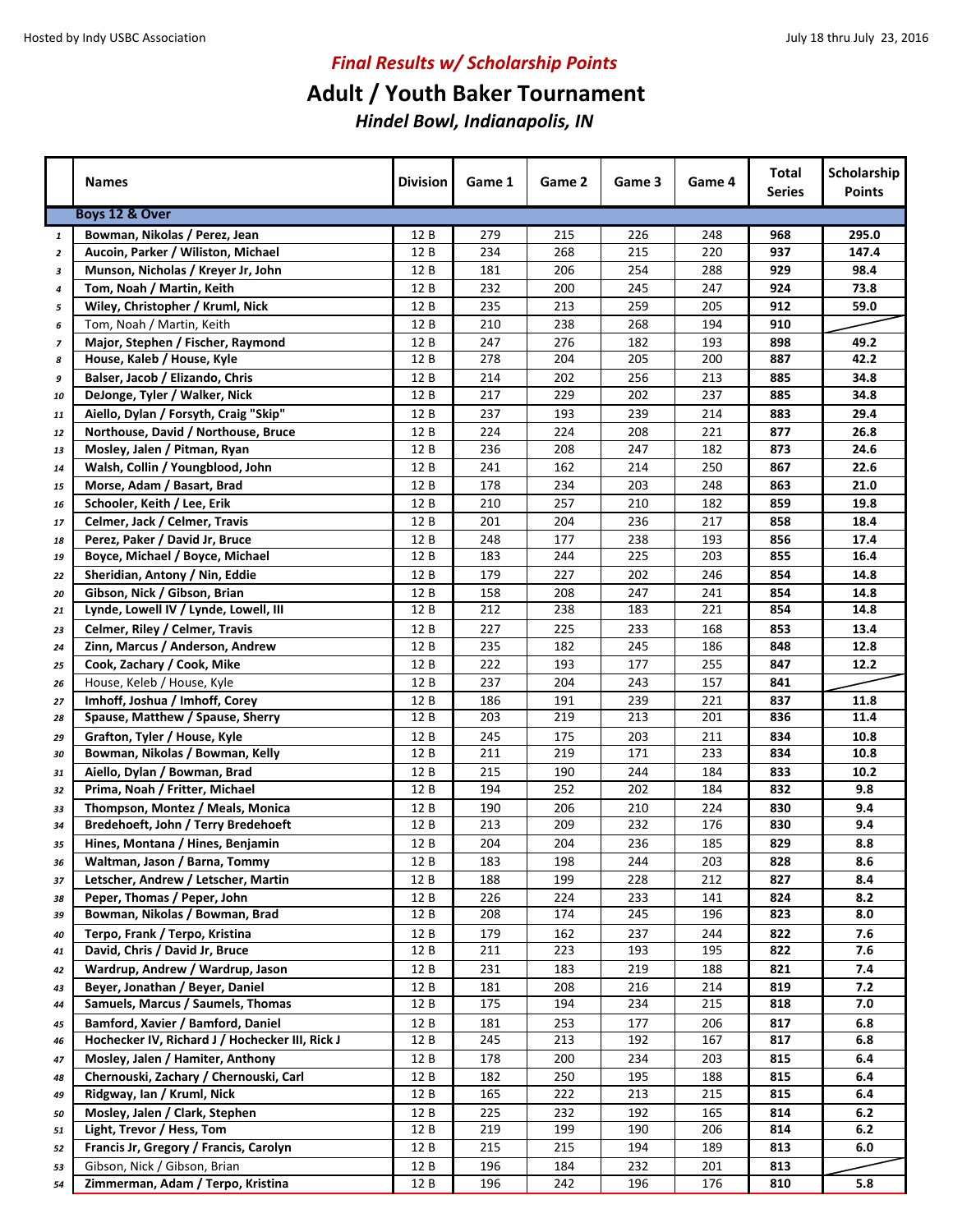## **Adult / Youth Baker Tournament**

|                          | <b>Names</b>                                    | <b>Division</b> | Game 1     | Game 2     | Game 3     | Game 4     | <b>Total</b><br><b>Series</b> | Scholarship<br><b>Points</b> |
|--------------------------|-------------------------------------------------|-----------------|------------|------------|------------|------------|-------------------------------|------------------------------|
|                          | Boys 12 & Over                                  |                 |            |            |            |            |                               |                              |
| $\mathbf{1}$             | Bowman, Nikolas / Perez, Jean                   | 12 B            | 279        | 215        | 226        | 248        | 968                           | 295.0                        |
| $\overline{2}$           | Aucoin, Parker / Wiliston, Michael              | 12 B            | 234        | 268        | 215        | 220        | 937                           | 147.4                        |
| 3                        | Munson, Nicholas / Kreyer Jr, John              | 12 B            | 181        | 206        | 254        | 288        | 929                           | 98.4                         |
| 4                        | Tom, Noah / Martin, Keith                       | 12 B            | 232        | 200        | 245        | 247        | 924                           | 73.8                         |
| 5                        | Wiley, Christopher / Kruml, Nick                | 12 B            | 235        | 213        | 259        | 205        | 912                           | 59.0                         |
| 6                        | Tom, Noah / Martin, Keith                       | 12 B            | 210        | 238        | 268        | 194        | 910                           |                              |
| $\overline{\phantom{a}}$ | Major, Stephen / Fischer, Raymond               | 12 B            | 247        | 276        | 182        | 193        | 898                           | 49.2                         |
| 8                        | House, Kaleb / House, Kyle                      | 12 B            | 278        | 204        | 205        | 200        | 887                           | 42.2                         |
| 9                        | Balser, Jacob / Elizando, Chris                 | 12 B            | 214        | 202        | 256        | 213        | 885                           | 34.8                         |
| 10                       | DeJonge, Tyler / Walker, Nick                   | 12 B            | 217        | 229        | 202        | 237        | 885                           | 34.8                         |
| 11                       | Aiello, Dylan / Forsyth, Craig "Skip"           | 12 B            | 237        | 193        | 239        | 214        | 883                           | 29.4                         |
| 12                       | Northouse, David / Northouse, Bruce             | 12 B            | 224        | 224        | 208        | 221        | 877                           | 26.8                         |
| 13                       | Mosley, Jalen / Pitman, Ryan                    | 12 B            | 236        | 208        | 247        | 182        | 873                           | 24.6                         |
| 14                       | Walsh, Collin / Youngblood, John                | 12 B            | 241        | 162        | 214        | 250        | 867                           | 22.6                         |
| 15                       | Morse, Adam / Basart, Brad                      | 12 B            | 178        | 234        | 203        | 248        | 863                           | 21.0                         |
| 16                       | Schooler, Keith / Lee, Erik                     | 12 B            | 210        | 257        | 210        | 182        | 859                           | 19.8                         |
| 17                       | Celmer, Jack / Celmer, Travis                   | 12 B            | 201        | 204        | 236        | 217        | 858                           | 18.4                         |
| 18                       | Perez, Paker / David Jr, Bruce                  | 12 B            | 248        | 177        | 238        | 193        | 856                           | 17.4                         |
| 19                       | Boyce, Michael / Boyce, Michael                 | 12 B            | 183        | 244        | 225        | 203        | 855                           | 16.4                         |
|                          | Sheridian, Antony / Nin, Eddie                  | 12 B            | 179        | 227        | 202        | 246        | 854                           | 14.8                         |
| 22                       | Gibson, Nick / Gibson, Brian                    | 12 B            | 158        | 208        | 247        | 241        | 854                           | 14.8                         |
| 20<br>21                 | Lynde, Lowell IV / Lynde, Lowell, III           | 12 B            | 212        | 238        | 183        | 221        | 854                           | 14.8                         |
|                          |                                                 |                 |            |            |            |            |                               |                              |
| 23                       | Celmer, Riley / Celmer, Travis                  | 12 B            | 227        | 225        | 233        | 168        | 853                           | 13.4                         |
| 24                       | Zinn, Marcus / Anderson, Andrew                 | 12 B            | 235        | 182        | 245        | 186        | 848                           | 12.8                         |
| 25                       | Cook, Zachary / Cook, Mike                      | 12 B            | 222        | 193        | 177        | 255        | 847                           | 12.2                         |
| 26                       | House, Keleb / House, Kyle                      | 12 B            | 237        | 204        | 243        | 157        | 841                           |                              |
| 27                       | Imhoff, Joshua / Imhoff, Corey                  | 12 B<br>12B     | 186<br>203 | 191<br>219 | 239<br>213 | 221<br>201 | 837                           | 11.8<br>11.4                 |
| 28                       | Spause, Matthew / Spause, Sherry                |                 |            |            |            |            | 836                           |                              |
| 29                       | Grafton, Tyler / House, Kyle                    | 12 B            | 245        | 175        | 203        | 211        | 834                           | 10.8                         |
| 30                       | Bowman, Nikolas / Bowman, Kelly                 | 12 B            | 211        | 219        | 171        | 233        | 834                           | 10.8                         |
| 31                       | Aiello, Dylan / Bowman, Brad                    | 12 B            | 215        | 190        | 244        | 184        | 833                           | 10.2                         |
| 32                       | Prima, Noah / Fritter, Michael                  | 12 B            | 194        | 252        | 202        | 184        | 832                           | 9.8                          |
| 33                       | Thompson, Montez / Meals, Monica                | 12 B            | 190        | 206        | 210        | 224        | 830                           | 9.4                          |
| 34                       | Bredehoeft, John / Terry Bredehoeft             | 12 B            | 213        | 209        | 232        | 176        | 830                           | 9.4                          |
| 35                       | Hines, Montana / Hines, Benjamin                | 12 B            | 204        | 204        | 236        | 185        | 829                           | 8.8                          |
| 36                       | Waltman, Jason / Barna, Tommy                   | 12 B            | 183        | 198        | 244        | 203        | 828                           | 8.6                          |
| 37                       | Letscher, Andrew / Letscher, Martin             | 12 B            | 188        | 199        | 228        | 212        | 827                           | 8.4                          |
| 38                       | Peper, Thomas / Peper, John                     | 12 B            | 226        | 224        | 233        | 141        | 824                           | 8.2                          |
| 39                       | Bowman, Nikolas / Bowman, Brad                  | 12 B            | 208        | 174        | 245        | 196        | 823                           | 8.0                          |
| 40                       | Terpo, Frank / Terpo, Kristina                  | 12 B            | 179        | 162        | 237        | 244        | 822                           | 7.6                          |
| 41                       | David, Chris / David Jr, Bruce                  | 12 B            | 211        | 223        | 193        | 195        | 822                           | 7.6                          |
| 42                       | Wardrup, Andrew / Wardrup, Jason                | 12 B            | 231        | 183        | 219        | 188        | 821                           | 7.4                          |
| 43                       | Beyer, Jonathan / Beyer, Daniel                 | 12 B            | 181        | 208        | 216        | 214        | 819                           | 7.2                          |
| 44                       | Samuels, Marcus / Saumels, Thomas               | 12 B            | 175        | 194        | 234        | 215        | 818                           | 7.0                          |
| 45                       | Bamford, Xavier / Bamford, Daniel               | 12 B            | 181        | 253        | 177        | 206        | 817                           | 6.8                          |
| 46                       | Hochecker IV, Richard J / Hochecker III, Rick J | 12 B            | 245        | 213        | 192        | 167        | 817                           | 6.8                          |
| 47                       | Mosley, Jalen / Hamiter, Anthony                | 12 B            | 178        | 200        | 234        | 203        | 815                           | 6.4                          |
| 48                       | Chernouski, Zachary / Chernouski, Carl          | 12 B            | 182        | 250        | 195        | 188        | 815                           | 6.4                          |
| 49                       | Ridgway, Ian / Kruml, Nick                      | 12 B            | 165        | 222        | 213        | 215        | 815                           | 6.4                          |
| 50                       | Mosley, Jalen / Clark, Stephen                  | 12 B            | 225        | 232        | 192        | 165        | 814                           | 6.2                          |
| 51                       | Light, Trevor / Hess, Tom                       | 12 B            | 219        | 199        | 190        | 206        | 814                           | 6.2                          |
| 52                       | Francis Jr, Gregory / Francis, Carolyn          | 12 B            | 215        | 215        | 194        | 189        | 813                           | 6.0                          |
| 53                       | Gibson, Nick / Gibson, Brian                    | 12 B            | 196        | 184        | 232        | 201        | 813                           |                              |
| 54                       | Zimmerman, Adam / Terpo, Kristina               | 12 B            | 196        | 242        | 196        | 176        | 810                           | 5.8                          |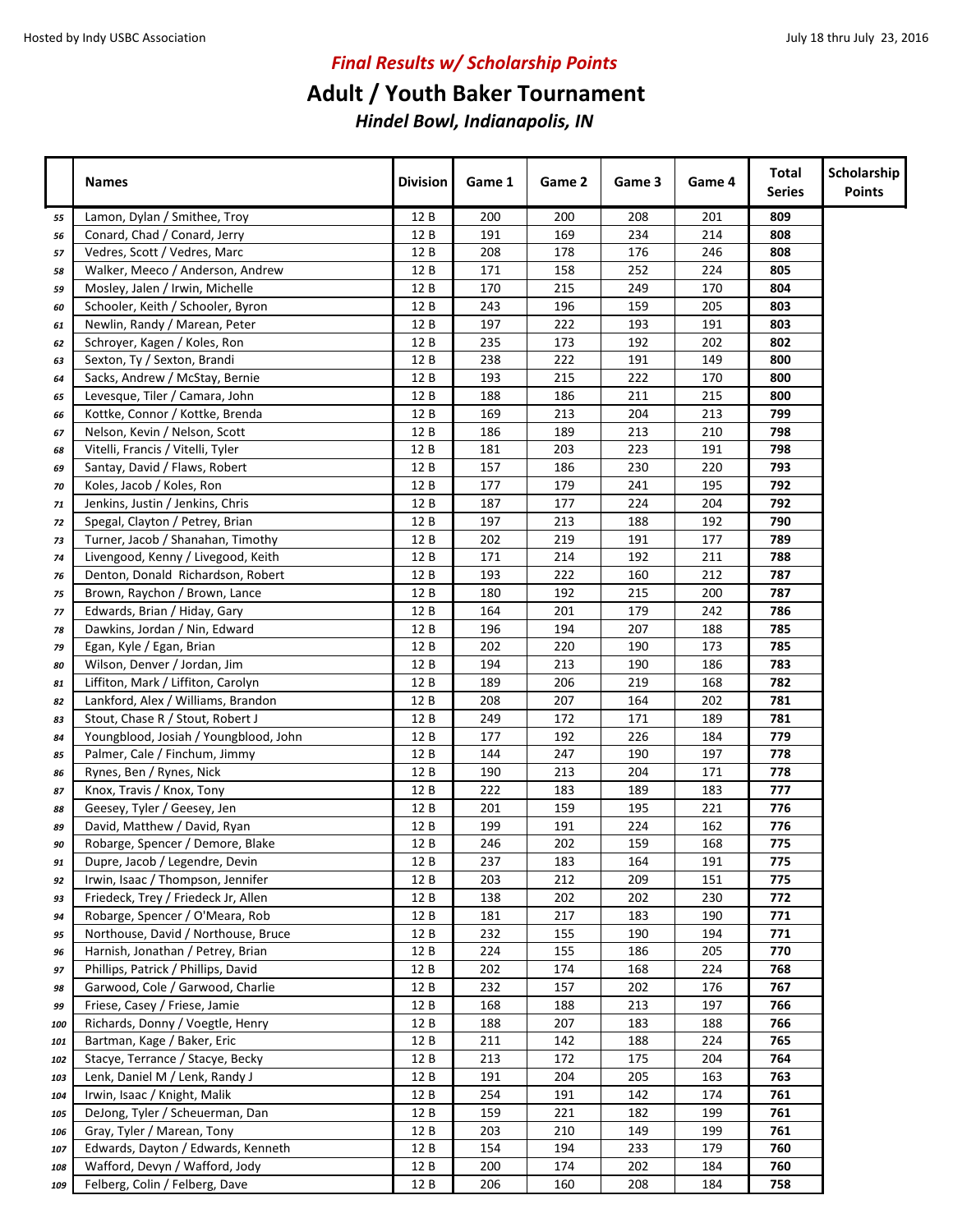## **Adult / Youth Baker Tournament**

|            | <b>Names</b>                                                             | <b>Division</b> | Game 1     | Game 2     | Game 3     | Game 4     | Total<br><b>Series</b> | Scholarship<br><b>Points</b> |
|------------|--------------------------------------------------------------------------|-----------------|------------|------------|------------|------------|------------------------|------------------------------|
| 55         | Lamon, Dylan / Smithee, Troy                                             | 12 B            | 200        | 200        | 208        | 201        | 809                    |                              |
| 56         | Conard, Chad / Conard, Jerry                                             | 12 B            | 191        | 169        | 234        | 214        | 808                    |                              |
| 57         | Vedres, Scott / Vedres, Marc                                             | 12 B            | 208        | 178        | 176        | 246        | 808                    |                              |
| 58         | Walker, Meeco / Anderson, Andrew                                         | 12 B            | 171        | 158        | 252        | 224        | 805                    |                              |
| 59         | Mosley, Jalen / Irwin, Michelle                                          | 12 B            | 170        | 215        | 249        | 170        | 804                    |                              |
| 60         | Schooler, Keith / Schooler, Byron                                        | 12 B            | 243        | 196        | 159        | 205        | 803                    |                              |
| 61         | Newlin, Randy / Marean, Peter                                            | 12 B            | 197        | 222        | 193        | 191        | 803                    |                              |
| 62         | Schroyer, Kagen / Koles, Ron                                             | 12 B            | 235        | 173        | 192        | 202        | 802                    |                              |
| 63         | Sexton, Ty / Sexton, Brandi                                              | 12 B            | 238        | 222        | 191        | 149        | 800                    |                              |
| 64         | Sacks, Andrew / McStay, Bernie                                           | 12 B            | 193        | 215        | 222        | 170        | 800                    |                              |
| 65         | Levesque, Tiler / Camara, John                                           | 12 B            | 188        | 186        | 211        | 215        | 800                    |                              |
| 66         | Kottke, Connor / Kottke, Brenda                                          | 12 B            | 169        | 213        | 204        | 213        | 799                    |                              |
| 67         | Nelson, Kevin / Nelson, Scott                                            | 12 B            | 186        | 189        | 213        | 210        | 798                    |                              |
| 68         | Vitelli, Francis / Vitelli, Tyler                                        | 12 B            | 181        | 203        | 223        | 191        | 798                    |                              |
| 69         | Santay, David / Flaws, Robert                                            | 12 B            | 157        | 186        | 230        | 220        | 793                    |                              |
| 70         | Koles, Jacob / Koles, Ron                                                | 12 B            | 177        | 179        | 241        | 195        | 792                    |                              |
| 71         | Jenkins, Justin / Jenkins, Chris                                         | 12 B            | 187        | 177        | 224        | 204        | 792                    |                              |
| 72         | Spegal, Clayton / Petrey, Brian                                          | 12 B            | 197        | 213        | 188        | 192        | 790                    |                              |
| 73         | Turner, Jacob / Shanahan, Timothy                                        | 12 B            | 202        | 219        | 191        | 177        | 789                    |                              |
| 74         | Livengood, Kenny / Livegood, Keith                                       | 12 B            | 171        | 214        | 192        | 211        | 788                    |                              |
| 76         | Denton, Donald Richardson, Robert                                        | 12 B            | 193        | 222        | 160        | 212        | 787                    |                              |
| 75         | Brown, Raychon / Brown, Lance                                            | 12 B            | 180        | 192        | 215        | 200        | 787                    |                              |
| 77         | Edwards, Brian / Hiday, Gary                                             | 12 B            | 164        | 201        | 179        | 242        | 786                    |                              |
| 78         | Dawkins, Jordan / Nin, Edward                                            | 12B             | 196        | 194        | 207        | 188        | 785                    |                              |
| 79         | Egan, Kyle / Egan, Brian                                                 | 12 B            | 202        | 220        | 190        | 173        | 785                    |                              |
| 80         | Wilson, Denver / Jordan, Jim                                             | 12 B            | 194        | 213        | 190        | 186        | 783                    |                              |
| 81         | Liffiton, Mark / Liffiton, Carolyn                                       | 12 B            | 189        | 206        | 219        | 168        | 782                    |                              |
| 82         | Lankford, Alex / Williams, Brandon                                       | 12 B            | 208        | 207        | 164        | 202        | 781                    |                              |
| 83         | Stout, Chase R / Stout, Robert J                                         | 12 B            | 249        | 172        | 171        | 189        | 781                    |                              |
| 84         | Youngblood, Josiah / Youngblood, John                                    | 12 B            | 177        | 192        | 226        | 184        | 779                    |                              |
| 85         | Palmer, Cale / Finchum, Jimmy                                            | 12 B            | 144        | 247        | 190        | 197        | 778                    |                              |
| 86         | Rynes, Ben / Rynes, Nick                                                 | 12 B            | 190        | 213        | 204        | 171        | 778                    |                              |
| 87         | Knox, Travis / Knox, Tony                                                | 12 B            | 222        | 183        | 189        | 183        | 777                    |                              |
| 88         | Geesey, Tyler / Geesey, Jen                                              | 12 B            | 201        | 159        | 195        | 221        | 776                    |                              |
| 89         | David, Matthew / David, Ryan                                             | 12 B            | 199        | 191        | 224        | 162        | 776                    |                              |
| 90         | Robarge, Spencer / Demore, Blake                                         | 12 B            | 246        | 202        | 159        | 168        | 775                    |                              |
| 91         | Dupre, Jacob / Legendre, Devin                                           | 12 B            | 237        | 183        | 164        | 191        | 775                    |                              |
| 92         | Irwin, Isaac / Thompson, Jennifer                                        | 12 B            | 203        | 212        | 209        | 151        | 775                    |                              |
| 93         | Friedeck, Trey / Friedeck Jr, Allen                                      | 12 B            | 138        | 202        | 202        | 230        | 772                    |                              |
| 94         | Robarge, Spencer / O'Meara, Rob<br>Northouse, David / Northouse, Bruce   | 12 B            | 181        | 217        | 183        | 190<br>194 | 771<br>771             |                              |
| 95         |                                                                          | 12 B            | 232        | 155        | 190        |            |                        |                              |
| 96         | Harnish, Jonathan / Petrey, Brian<br>Phillips, Patrick / Phillips, David | 12 B<br>12 B    | 224<br>202 | 155<br>174 | 186<br>168 | 205<br>224 | 770<br>768             |                              |
| 97         | Garwood, Cole / Garwood, Charlie                                         | 12 B            | 232        | 157        | 202        | 176        | 767                    |                              |
| 98         | Friese, Casey / Friese, Jamie                                            | 12 B            | 168        | 188        | 213        | 197        | 766                    |                              |
| 99         | Richards, Donny / Voegtle, Henry                                         | 12 B            | 188        | 207        | 183        | 188        | 766                    |                              |
| 100        | Bartman, Kage / Baker, Eric                                              | 12 B            | 211        | 142        | 188        | 224        | 765                    |                              |
| 101<br>102 | Stacye, Terrance / Stacye, Becky                                         | 12 B            | 213        | 172        | 175        | 204        | 764                    |                              |
| 103        | Lenk, Daniel M / Lenk, Randy J                                           | 12 B            | 191        | 204        | 205        | 163        | 763                    |                              |
| 104        | Irwin, Isaac / Knight, Malik                                             | 12 B            | 254        | 191        | 142        | 174        | 761                    |                              |
| 105        | DeJong, Tyler / Scheuerman, Dan                                          | 12 B            | 159        | 221        | 182        | 199        | 761                    |                              |
| 106        | Gray, Tyler / Marean, Tony                                               | 12 B            | 203        | 210        | 149        | 199        | 761                    |                              |
| 107        | Edwards, Dayton / Edwards, Kenneth                                       | 12 B            | 154        | 194        | 233        | 179        | 760                    |                              |
| 108        | Wafford, Devyn / Wafford, Jody                                           | 12 B            | 200        | 174        | 202        | 184        | 760                    |                              |
| 109        | Felberg, Colin / Felberg, Dave                                           | 12 B            | 206        | 160        | 208        | 184        | 758                    |                              |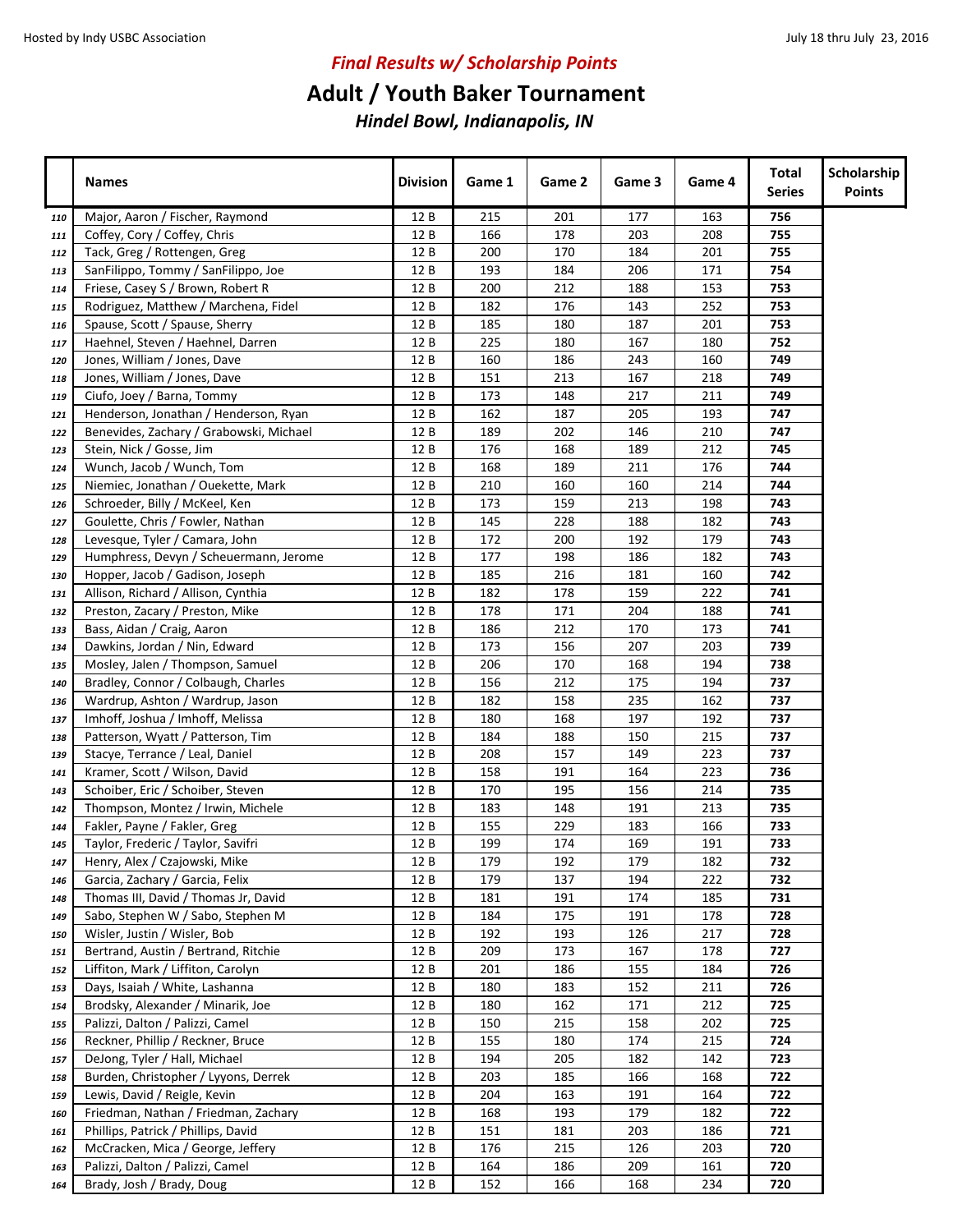# **Adult / Youth Baker Tournament**

|     | <b>Names</b>                            | <b>Division</b> | Game 1 | Game 2 | Game 3 | Game 4 | Total<br><b>Series</b> | Scholarship<br><b>Points</b> |
|-----|-----------------------------------------|-----------------|--------|--------|--------|--------|------------------------|------------------------------|
| 110 | Major, Aaron / Fischer, Raymond         | 12 B            | 215    | 201    | 177    | 163    | 756                    |                              |
| 111 | Coffey, Cory / Coffey, Chris            | 12 B            | 166    | 178    | 203    | 208    | 755                    |                              |
| 112 | Tack, Greg / Rottengen, Greg            | 12B             | 200    | 170    | 184    | 201    | 755                    |                              |
| 113 | SanFilippo, Tommy / SanFilippo, Joe     | 12B             | 193    | 184    | 206    | 171    | 754                    |                              |
| 114 | Friese, Casey S / Brown, Robert R       | 12 B            | 200    | 212    | 188    | 153    | 753                    |                              |
| 115 | Rodriguez, Matthew / Marchena, Fidel    | 12B             | 182    | 176    | 143    | 252    | 753                    |                              |
| 116 | Spause, Scott / Spause, Sherry          | 12 B            | 185    | 180    | 187    | 201    | 753                    |                              |
| 117 | Haehnel, Steven / Haehnel, Darren       | 12 B            | 225    | 180    | 167    | 180    | 752                    |                              |
| 120 | Jones, William / Jones, Dave            | 12 B            | 160    | 186    | 243    | 160    | 749                    |                              |
| 118 | Jones, William / Jones, Dave            | 12 B            | 151    | 213    | 167    | 218    | 749                    |                              |
| 119 | Ciufo, Joey / Barna, Tommy              | 12 B            | 173    | 148    | 217    | 211    | 749                    |                              |
| 121 | Henderson, Jonathan / Henderson, Ryan   | 12 B            | 162    | 187    | 205    | 193    | 747                    |                              |
| 122 | Benevides, Zachary / Grabowski, Michael | 12 B            | 189    | 202    | 146    | 210    | 747                    |                              |
| 123 | Stein, Nick / Gosse, Jim                | 12 B            | 176    | 168    | 189    | 212    | 745                    |                              |
| 124 | Wunch, Jacob / Wunch, Tom               | 12 B            | 168    | 189    | 211    | 176    | 744                    |                              |
| 125 | Niemiec, Jonathan / Ouekette, Mark      | 12 B            | 210    | 160    | 160    | 214    | 744                    |                              |
| 126 | Schroeder, Billy / McKeel, Ken          | 12B             | 173    | 159    | 213    | 198    | 743                    |                              |
| 127 | Goulette, Chris / Fowler, Nathan        | 12 B            | 145    | 228    | 188    | 182    | 743                    |                              |
| 128 | Levesque, Tyler / Camara, John          | 12 B            | 172    | 200    | 192    | 179    | 743                    |                              |
| 129 | Humphress, Devyn / Scheuermann, Jerome  | 12 B            | 177    | 198    | 186    | 182    | 743                    |                              |
| 130 | Hopper, Jacob / Gadison, Joseph         | 12B             | 185    | 216    | 181    | 160    | 742                    |                              |
| 131 | Allison, Richard / Allison, Cynthia     | 12 B            | 182    | 178    | 159    | 222    | 741                    |                              |
| 132 | Preston, Zacary / Preston, Mike         | 12 B            | 178    | 171    | 204    | 188    | 741                    |                              |
| 133 | Bass, Aidan / Craig, Aaron              | 12 B            | 186    | 212    | 170    | 173    | 741                    |                              |
| 134 | Dawkins, Jordan / Nin, Edward           | 12 B            | 173    | 156    | 207    | 203    | 739                    |                              |
| 135 | Mosley, Jalen / Thompson, Samuel        | 12B             | 206    | 170    | 168    | 194    | 738                    |                              |
| 140 | Bradley, Connor / Colbaugh, Charles     | 12 B            | 156    | 212    | 175    | 194    | 737                    |                              |
| 136 | Wardrup, Ashton / Wardrup, Jason        | 12 B            | 182    | 158    | 235    | 162    | 737                    |                              |
| 137 | Imhoff, Joshua / Imhoff, Melissa        | 12 B            | 180    | 168    | 197    | 192    | 737                    |                              |
| 138 | Patterson, Wyatt / Patterson, Tim       | 12 B            | 184    | 188    | 150    | 215    | 737                    |                              |
| 139 | Stacye, Terrance / Leal, Daniel         | 12 B            | 208    | 157    | 149    | 223    | 737                    |                              |
| 141 | Kramer, Scott / Wilson, David           | 12 B            | 158    | 191    | 164    | 223    | 736                    |                              |
| 143 | Schoiber, Eric / Schoiber, Steven       | 12 B            | 170    | 195    | 156    | 214    | 735                    |                              |
| 142 | Thompson, Montez / Irwin, Michele       | 12 B            | 183    | 148    | 191    | 213    | 735                    |                              |
| 144 | Fakler, Payne / Fakler, Greg            | 12 B            | 155    | 229    | 183    | 166    | 733                    |                              |
| 145 | Taylor, Frederic / Taylor, Savifri      | 12 B            | 199    | 174    | 169    | 191    | 733                    |                              |
| 147 | Henry, Alex / Czajowski, Mike           | 12 B            | 179    | 192    | 179    | 182    | 732                    |                              |
| 146 | Garcia, Zachary / Garcia, Felix         | 12 B            | 179    | 137    | 194    | 222    | 732                    |                              |
| 148 | Thomas III, David / Thomas Jr, David    | 12 B            | 181    | 191    | 174    | 185    | 731                    |                              |
| 149 | Sabo, Stephen W / Sabo, Stephen M       | 12 B            | 184    | 175    | 191    | 178    | 728                    |                              |
| 150 | Wisler, Justin / Wisler, Bob            | 12 B            | 192    | 193    | 126    | 217    | 728                    |                              |
| 151 | Bertrand, Austin / Bertrand, Ritchie    | 12 B            | 209    | 173    | 167    | 178    | 727                    |                              |
| 152 | Liffiton, Mark / Liffiton, Carolyn      | 12 B            | 201    | 186    | 155    | 184    | 726                    |                              |
| 153 | Days, Isaiah / White, Lashanna          | 12 B            | 180    | 183    | 152    | 211    | 726                    |                              |
| 154 | Brodsky, Alexander / Minarik, Joe       | 12 B            | 180    | 162    | 171    | 212    | 725                    |                              |
| 155 | Palizzi, Dalton / Palizzi, Camel        | 12 B            | 150    | 215    | 158    | 202    | 725                    |                              |
| 156 | Reckner, Phillip / Reckner, Bruce       | 12 B            | 155    | 180    | 174    | 215    | 724                    |                              |
| 157 | DeJong, Tyler / Hall, Michael           | 12 B            | 194    | 205    | 182    | 142    | 723                    |                              |
| 158 | Burden, Christopher / Lyyons, Derrek    | 12 B            | 203    | 185    | 166    | 168    | 722                    |                              |
| 159 | Lewis, David / Reigle, Kevin            | 12 B            | 204    | 163    | 191    | 164    | 722                    |                              |
| 160 | Friedman, Nathan / Friedman, Zachary    | 12 B            | 168    | 193    | 179    | 182    | 722                    |                              |
| 161 | Phillips, Patrick / Phillips, David     | 12 B            | 151    | 181    | 203    | 186    | 721                    |                              |
| 162 | McCracken, Mica / George, Jeffery       | 12 B            | 176    | 215    | 126    | 203    | 720                    |                              |
| 163 | Palizzi, Dalton / Palizzi, Camel        | 12 B            | 164    | 186    | 209    | 161    | 720                    |                              |
| 164 | Brady, Josh / Brady, Doug               | 12 B            | 152    | 166    | 168    | 234    | 720                    |                              |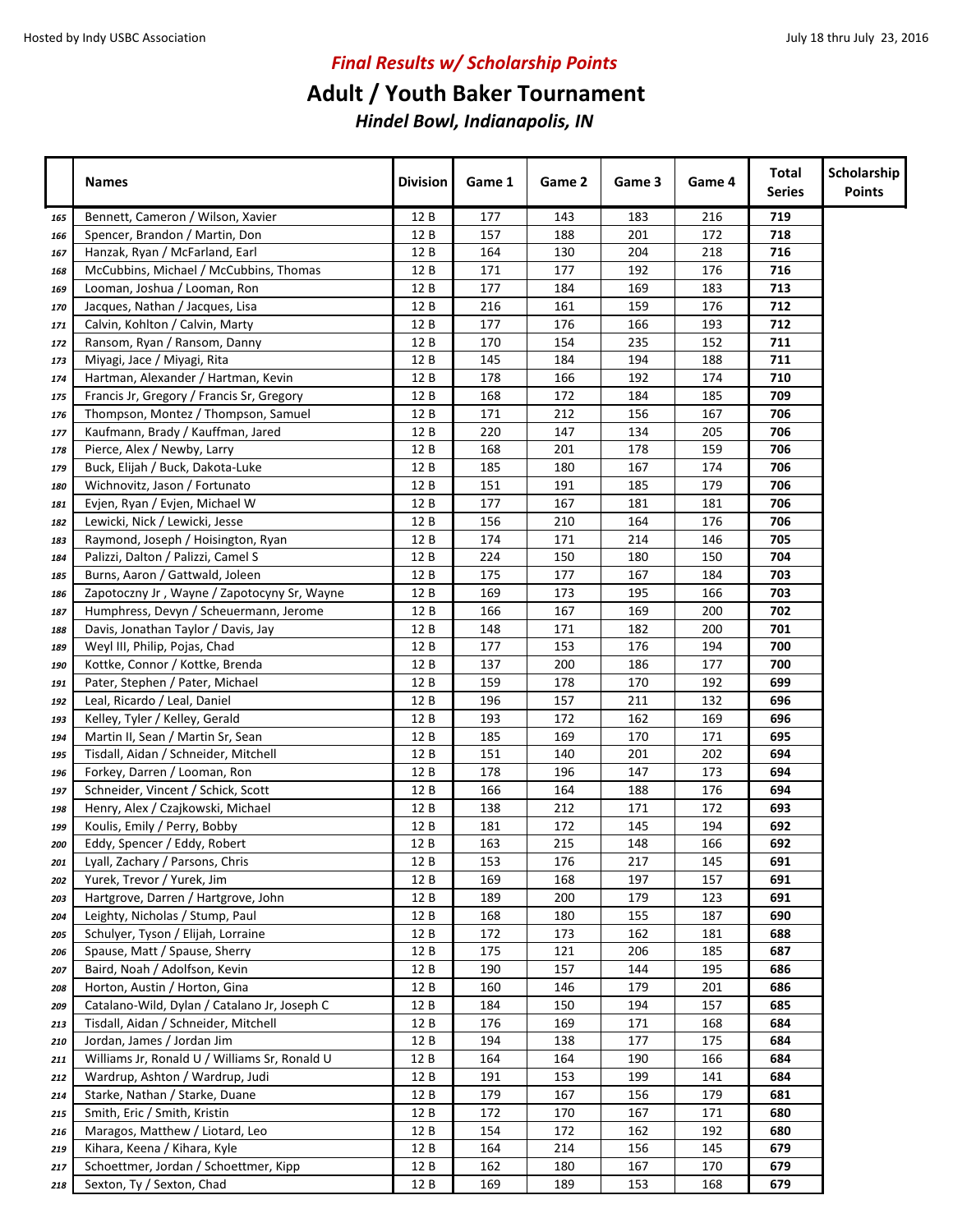## **Adult / Youth Baker Tournament**

|     | <b>Names</b>                                  | <b>Division</b> | Game 1 | Game 2 | Game 3 | Game 4 | Total<br><b>Series</b> | Scholarship<br><b>Points</b> |
|-----|-----------------------------------------------|-----------------|--------|--------|--------|--------|------------------------|------------------------------|
| 165 | Bennett, Cameron / Wilson, Xavier             | 12 B            | 177    | 143    | 183    | 216    | 719                    |                              |
| 166 | Spencer, Brandon / Martin, Don                | 12 B            | 157    | 188    | 201    | 172    | 718                    |                              |
| 167 | Hanzak, Ryan / McFarland, Earl                | 12 B            | 164    | 130    | 204    | 218    | 716                    |                              |
| 168 | McCubbins, Michael / McCubbins, Thomas        | 12 B            | 171    | 177    | 192    | 176    | 716                    |                              |
| 169 | Looman, Joshua / Looman, Ron                  | 12 B            | 177    | 184    | 169    | 183    | 713                    |                              |
| 170 | Jacques, Nathan / Jacques, Lisa               | 12 B            | 216    | 161    | 159    | 176    | 712                    |                              |
| 171 | Calvin, Kohlton / Calvin, Marty               | 12B             | 177    | 176    | 166    | 193    | 712                    |                              |
| 172 | Ransom, Ryan / Ransom, Danny                  | 12 B            | 170    | 154    | 235    | 152    | 711                    |                              |
| 173 | Miyagi, Jace / Miyagi, Rita                   | 12 B            | 145    | 184    | 194    | 188    | 711                    |                              |
| 174 | Hartman, Alexander / Hartman, Kevin           | 12 B            | 178    | 166    | 192    | 174    | 710                    |                              |
| 175 | Francis Jr, Gregory / Francis Sr, Gregory     | 12 B            | 168    | 172    | 184    | 185    | 709                    |                              |
| 176 | Thompson, Montez / Thompson, Samuel           | 12 B            | 171    | 212    | 156    | 167    | 706                    |                              |
| 177 | Kaufmann, Brady / Kauffman, Jared             | 12 B            | 220    | 147    | 134    | 205    | 706                    |                              |
| 178 | Pierce, Alex / Newby, Larry                   | 12 B            | 168    | 201    | 178    | 159    | 706                    |                              |
| 179 | Buck, Elijah / Buck, Dakota-Luke              | 12 B            | 185    | 180    | 167    | 174    | 706                    |                              |
| 180 | Wichnovitz, Jason / Fortunato                 | 12 B            | 151    | 191    | 185    | 179    | 706                    |                              |
| 181 | Evjen, Ryan / Evjen, Michael W                | 12 B            | 177    | 167    | 181    | 181    | 706                    |                              |
| 182 | Lewicki, Nick / Lewicki, Jesse                | 12 B            | 156    | 210    | 164    | 176    | 706                    |                              |
| 183 | Raymond, Joseph / Hoisington, Ryan            | 12 B            | 174    | 171    | 214    | 146    | 705                    |                              |
| 184 | Palizzi, Dalton / Palizzi, Camel S            | 12 B            | 224    | 150    | 180    | 150    | 704                    |                              |
| 185 | Burns, Aaron / Gattwald, Joleen               | 12 B            | 175    | 177    | 167    | 184    | 703                    |                              |
| 186 | Zapotoczny Jr, Wayne / Zapotocyny Sr, Wayne   | 12 B            | 169    | 173    | 195    | 166    | 703                    |                              |
| 187 | Humphress, Devyn / Scheuermann, Jerome        | 12 B            | 166    | 167    | 169    | 200    | 702                    |                              |
| 188 | Davis, Jonathan Taylor / Davis, Jay           | 12B             | 148    | 171    | 182    | 200    | 701                    |                              |
| 189 | Weyl III, Philip, Pojas, Chad                 | 12B             | 177    | 153    | 176    | 194    | 700                    |                              |
| 190 | Kottke, Connor / Kottke, Brenda               | 12 B            | 137    | 200    | 186    | 177    | 700                    |                              |
| 191 | Pater, Stephen / Pater, Michael               | 12 B            | 159    | 178    | 170    | 192    | 699                    |                              |
| 192 | Leal, Ricardo / Leal, Daniel                  | 12 B            | 196    | 157    | 211    | 132    | 696                    |                              |
| 193 | Kelley, Tyler / Kelley, Gerald                | 12 B            | 193    | 172    | 162    | 169    | 696                    |                              |
| 194 | Martin II, Sean / Martin Sr, Sean             | 12 B            | 185    | 169    | 170    | 171    | 695                    |                              |
| 195 | Tisdall, Aidan / Schneider, Mitchell          | 12B             | 151    | 140    | 201    | 202    | 694                    |                              |
| 196 | Forkey, Darren / Looman, Ron                  | 12 B            | 178    | 196    | 147    | 173    | 694                    |                              |
| 197 | Schneider, Vincent / Schick, Scott            | 12 B            | 166    | 164    | 188    | 176    | 694                    |                              |
| 198 | Henry, Alex / Czajkowski, Michael             | 12 B            | 138    | 212    | 171    | 172    | 693                    |                              |
| 199 | Koulis, Emily / Perry, Bobby                  | 12 B            | 181    | 172    | 145    | 194    | 692                    |                              |
| 200 | Eddy, Spencer / Eddy, Robert                  | 12 B            | 163    | 215    | 148    | 166    | 692                    |                              |
| 201 | Lyall, Zachary / Parsons, Chris               | 12 B            | 153    | 176    | 217    | 145    | 691                    |                              |
| 202 | Yurek, Trevor / Yurek, Jim                    | 12 B            | 169    | 168    | 197    | 157    | 691                    |                              |
| 203 | Hartgrove, Darren / Hartgrove, John           | 12 B            | 189    | 200    | 179    | 123    | 691                    |                              |
| 204 | Leighty, Nicholas / Stump, Paul               | 12 B            | 168    | 180    | 155    | 187    | 690                    |                              |
| 205 | Schulyer, Tyson / Elijah, Lorraine            | 12 B            | 172    | 173    | 162    | 181    | 688                    |                              |
| 206 | Spause, Matt / Spause, Sherry                 | 12 B            | 175    | 121    | 206    | 185    | 687                    |                              |
| 207 | Baird, Noah / Adolfson, Kevin                 | 12 B            | 190    | 157    | 144    | 195    | 686                    |                              |
| 208 | Horton, Austin / Horton, Gina                 | 12 B            | 160    | 146    | 179    | 201    | 686                    |                              |
| 209 | Catalano-Wild, Dylan / Catalano Jr, Joseph C  | 12 B            | 184    | 150    | 194    | 157    | 685                    |                              |
| 213 | Tisdall, Aidan / Schneider, Mitchell          | 12 B            | 176    | 169    | 171    | 168    | 684                    |                              |
| 210 | Jordan, James / Jordan Jim                    | 12 B            | 194    | 138    | 177    | 175    | 684                    |                              |
| 211 | Williams Jr, Ronald U / Williams Sr, Ronald U | 12 B            | 164    | 164    | 190    | 166    | 684                    |                              |
| 212 | Wardrup, Ashton / Wardrup, Judi               | 12 B            | 191    | 153    | 199    | 141    | 684                    |                              |
| 214 | Starke, Nathan / Starke, Duane                | 12 B            | 179    | 167    | 156    | 179    | 681                    |                              |
| 215 | Smith, Eric / Smith, Kristin                  | 12 B            | 172    | 170    | 167    | 171    | 680                    |                              |
| 216 | Maragos, Matthew / Liotard, Leo               | 12 B            | 154    | 172    | 162    | 192    | 680                    |                              |
| 219 | Kihara, Keena / Kihara, Kyle                  | 12 B            | 164    | 214    | 156    | 145    | 679                    |                              |
| 217 | Schoettmer, Jordan / Schoettmer, Kipp         | 12 B            | 162    | 180    | 167    | 170    | 679                    |                              |
| 218 | Sexton, Ty / Sexton, Chad                     | 12 B            | 169    | 189    | 153    | 168    | 679                    |                              |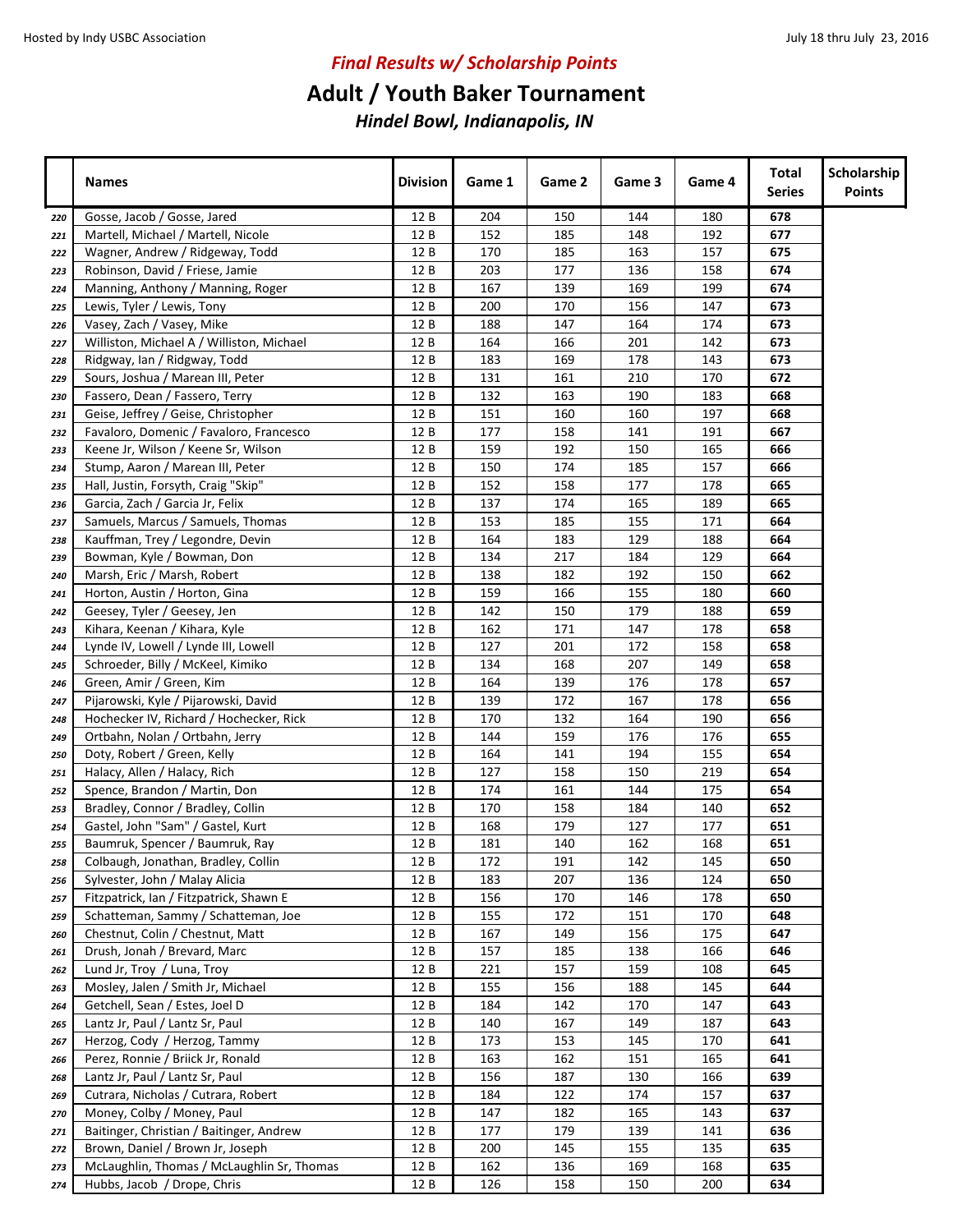## **Adult / Youth Baker Tournament**

|     | <b>Names</b>                               | <b>Division</b> | Game 1 | Game 2 | Game 3 | Game 4 | Total<br><b>Series</b> | Scholarship<br><b>Points</b> |
|-----|--------------------------------------------|-----------------|--------|--------|--------|--------|------------------------|------------------------------|
| 220 | Gosse, Jacob / Gosse, Jared                | 12 B            | 204    | 150    | 144    | 180    | 678                    |                              |
| 221 | Martell, Michael / Martell, Nicole         | 12 B            | 152    | 185    | 148    | 192    | 677                    |                              |
| 222 | Wagner, Andrew / Ridgeway, Todd            | 12 B            | 170    | 185    | 163    | 157    | 675                    |                              |
| 223 | Robinson, David / Friese, Jamie            | 12 B            | 203    | 177    | 136    | 158    | 674                    |                              |
| 224 | Manning, Anthony / Manning, Roger          | 12 B            | 167    | 139    | 169    | 199    | 674                    |                              |
| 225 | Lewis, Tyler / Lewis, Tony                 | 12 B            | 200    | 170    | 156    | 147    | 673                    |                              |
| 226 | Vasey, Zach / Vasey, Mike                  | 12 B            | 188    | 147    | 164    | 174    | 673                    |                              |
| 227 | Williston, Michael A / Williston, Michael  | 12 B            | 164    | 166    | 201    | 142    | 673                    |                              |
| 228 | Ridgway, Ian / Ridgway, Todd               | 12 B            | 183    | 169    | 178    | 143    | 673                    |                              |
| 229 | Sours, Joshua / Marean III, Peter          | 12 B            | 131    | 161    | 210    | 170    | 672                    |                              |
| 230 | Fassero, Dean / Fassero, Terry             | 12 B            | 132    | 163    | 190    | 183    | 668                    |                              |
| 231 | Geise, Jeffrey / Geise, Christopher        | 12 B            | 151    | 160    | 160    | 197    | 668                    |                              |
| 232 | Favaloro, Domenic / Favaloro, Francesco    | 12 B            | 177    | 158    | 141    | 191    | 667                    |                              |
| 233 | Keene Jr, Wilson / Keene Sr, Wilson        | 12 B            | 159    | 192    | 150    | 165    | 666                    |                              |
| 234 | Stump, Aaron / Marean III, Peter           | 12 B            | 150    | 174    | 185    | 157    | 666                    |                              |
| 235 | Hall, Justin, Forsyth, Craig "Skip"        | 12 B            | 152    | 158    | 177    | 178    | 665                    |                              |
| 236 | Garcia, Zach / Garcia Jr, Felix            | 12 B            | 137    | 174    | 165    | 189    | 665                    |                              |
| 237 | Samuels, Marcus / Samuels, Thomas          | 12 B            | 153    | 185    | 155    | 171    | 664                    |                              |
| 238 | Kauffman, Trey / Legondre, Devin           | 12B             | 164    | 183    | 129    | 188    | 664                    |                              |
| 239 | Bowman, Kyle / Bowman, Don                 | 12 B            | 134    | 217    | 184    | 129    | 664                    |                              |
| 240 | Marsh, Eric / Marsh, Robert                | 12 B            | 138    | 182    | 192    | 150    | 662                    |                              |
| 241 | Horton, Austin / Horton, Gina              | 12B             | 159    | 166    | 155    | 180    | 660                    |                              |
| 242 | Geesey, Tyler / Geesey, Jen                | 12 B            | 142    | 150    | 179    | 188    | 659                    |                              |
| 243 | Kihara, Keenan / Kihara, Kyle              | 12B             | 162    | 171    | 147    | 178    | 658                    |                              |
| 244 | Lynde IV, Lowell / Lynde III, Lowell       | 12 B            | 127    | 201    | 172    | 158    | 658                    |                              |
| 245 | Schroeder, Billy / McKeel, Kimiko          | 12 B            | 134    | 168    | 207    | 149    | 658                    |                              |
| 246 | Green, Amir / Green, Kim                   | 12 B            | 164    | 139    | 176    | 178    | 657                    |                              |
| 247 | Pijarowski, Kyle / Pijarowski, David       | 12B             | 139    | 172    | 167    | 178    | 656                    |                              |
| 248 | Hochecker IV, Richard / Hochecker, Rick    | 12 B            | 170    | 132    | 164    | 190    | 656                    |                              |
| 249 | Ortbahn, Nolan / Ortbahn, Jerry            | 12 B            | 144    | 159    | 176    | 176    | 655                    |                              |
| 250 | Doty, Robert / Green, Kelly                | 12 B            | 164    | 141    | 194    | 155    | 654                    |                              |
| 251 | Halacy, Allen / Halacy, Rich               | 12B             | 127    | 158    | 150    | 219    | 654                    |                              |
| 252 | Spence, Brandon / Martin, Don              | 12B             | 174    | 161    | 144    | 175    | 654                    |                              |
| 253 | Bradley, Connor / Bradley, Collin          | 12B             | 170    | 158    | 184    | 140    | 652                    |                              |
| 254 | Gastel, John "Sam" / Gastel, Kurt          | 12 B            | 168    | 179    | 127    | 177    | 651                    |                              |
| 255 | Baumruk, Spencer / Baumruk, Ray            | 12 B            | 181    | 140    | 162    | 168    | 651                    |                              |
| 258 | Colbaugh, Jonathan, Bradley, Collin        | 12 B            | 172    | 191    | 142    | 145    | 650                    |                              |
| 256 | Sylvester, John / Malay Alicia             | 12 B            | 183    | 207    | 136    | 124    | 650                    |                              |
| 257 | Fitzpatrick, Ian / Fitzpatrick, Shawn E    | 12 B            | 156    | 170    | 146    | 178    | 650                    |                              |
| 259 | Schatteman, Sammy / Schatteman, Joe        | 12 B            | 155    | 172    | 151    | 170    | 648                    |                              |
| 260 | Chestnut, Colin / Chestnut, Matt           | 12 B            | 167    | 149    | 156    | 175    | 647                    |                              |
| 261 | Drush, Jonah / Brevard, Marc               | 12 B            | 157    | 185    | 138    | 166    | 646                    |                              |
| 262 | Lund Jr, Troy / Luna, Troy                 | 12 B            | 221    | 157    | 159    | 108    | 645                    |                              |
| 263 | Mosley, Jalen / Smith Jr, Michael          | 12 B            | 155    | 156    | 188    | 145    | 644                    |                              |
| 264 | Getchell, Sean / Estes, Joel D             | 12 B            | 184    | 142    | 170    | 147    | 643                    |                              |
| 265 | Lantz Jr, Paul / Lantz Sr, Paul            | 12 B            | 140    | 167    | 149    | 187    | 643                    |                              |
| 267 | Herzog, Cody / Herzog, Tammy               | 12 B            | 173    | 153    | 145    | 170    | 641                    |                              |
| 266 | Perez, Ronnie / Briick Jr, Ronald          | 12 B            | 163    | 162    | 151    | 165    | 641                    |                              |
| 268 | Lantz Jr, Paul / Lantz Sr, Paul            | 12 B            | 156    | 187    | 130    | 166    | 639                    |                              |
| 269 | Cutrara, Nicholas / Cutrara, Robert        | 12 B            | 184    | 122    | 174    | 157    | 637                    |                              |
| 270 | Money, Colby / Money, Paul                 | 12 B            | 147    | 182    | 165    | 143    | 637                    |                              |
| 271 | Baitinger, Christian / Baitinger, Andrew   | 12 B            | 177    | 179    | 139    | 141    | 636                    |                              |
| 272 | Brown, Daniel / Brown Jr, Joseph           | 12 B            | 200    | 145    | 155    | 135    | 635                    |                              |
| 273 | McLaughlin, Thomas / McLaughlin Sr, Thomas | 12 B            | 162    | 136    | 169    | 168    | 635                    |                              |
| 274 | Hubbs, Jacob / Drope, Chris                | 12 B            | 126    | 158    | 150    | 200    | 634                    |                              |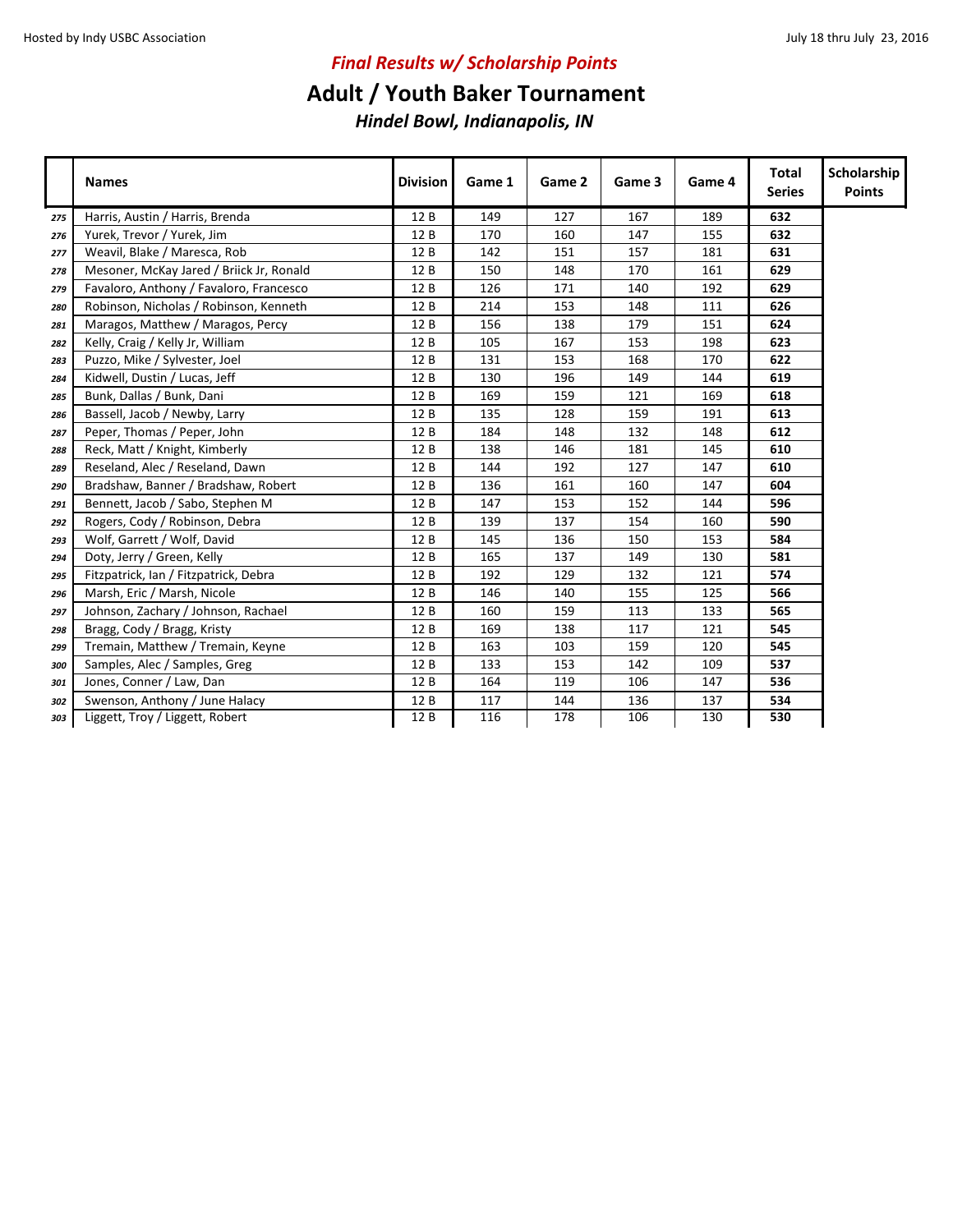### **Adult / Youth Baker Tournament**

|     | <b>Names</b>                             | <b>Division</b> | Game 1 | Game 2 | Game 3 | Game 4 | Total<br><b>Series</b> | Scholarship<br><b>Points</b> |
|-----|------------------------------------------|-----------------|--------|--------|--------|--------|------------------------|------------------------------|
| 275 | Harris, Austin / Harris, Brenda          | 12B             | 149    | 127    | 167    | 189    | 632                    |                              |
| 276 | Yurek, Trevor / Yurek, Jim               | 12B             | 170    | 160    | 147    | 155    | 632                    |                              |
| 277 | Weavil, Blake / Maresca, Rob             | 12 B            | 142    | 151    | 157    | 181    | 631                    |                              |
| 278 | Mesoner, McKay Jared / Briick Jr, Ronald | 12 B            | 150    | 148    | 170    | 161    | 629                    |                              |
| 279 | Favaloro, Anthony / Favaloro, Francesco  | 12 B            | 126    | 171    | 140    | 192    | 629                    |                              |
| 280 | Robinson, Nicholas / Robinson, Kenneth   | 12B             | 214    | 153    | 148    | 111    | 626                    |                              |
| 281 | Maragos, Matthew / Maragos, Percy        | 12 B            | 156    | 138    | 179    | 151    | 624                    |                              |
| 282 | Kelly, Craig / Kelly Jr, William         | 12 B            | 105    | 167    | 153    | 198    | 623                    |                              |
| 283 | Puzzo, Mike / Sylvester, Joel            | 12 B            | 131    | 153    | 168    | 170    | 622                    |                              |
| 284 | Kidwell, Dustin / Lucas, Jeff            | 12 B            | 130    | 196    | 149    | 144    | 619                    |                              |
| 285 | Bunk, Dallas / Bunk, Dani                | 12 B            | 169    | 159    | 121    | 169    | 618                    |                              |
| 286 | Bassell, Jacob / Newby, Larry            | 12 B            | 135    | 128    | 159    | 191    | 613                    |                              |
| 287 | Peper, Thomas / Peper, John              | 12 B            | 184    | 148    | 132    | 148    | 612                    |                              |
| 288 | Reck, Matt / Knight, Kimberly            | 12B             | 138    | 146    | 181    | 145    | 610                    |                              |
| 289 | Reseland, Alec / Reseland, Dawn          | 12B             | 144    | 192    | 127    | 147    | 610                    |                              |
| 290 | Bradshaw, Banner / Bradshaw, Robert      | 12 B            | 136    | 161    | 160    | 147    | 604                    |                              |
| 291 | Bennett, Jacob / Sabo, Stephen M         | 12 B            | 147    | 153    | 152    | 144    | 596                    |                              |
| 292 | Rogers, Cody / Robinson, Debra           | 12 B            | 139    | 137    | 154    | 160    | 590                    |                              |
| 293 | Wolf, Garrett / Wolf, David              | 12 B            | 145    | 136    | 150    | 153    | 584                    |                              |
| 294 | Doty, Jerry / Green, Kelly               | 12 B            | 165    | 137    | 149    | 130    | 581                    |                              |
| 295 | Fitzpatrick, Ian / Fitzpatrick, Debra    | 12 B            | 192    | 129    | 132    | 121    | 574                    |                              |
| 296 | Marsh, Eric / Marsh, Nicole              | 12 B            | 146    | 140    | 155    | 125    | 566                    |                              |
| 297 | Johnson, Zachary / Johnson, Rachael      | 12 B            | 160    | 159    | 113    | 133    | 565                    |                              |
| 298 | Bragg, Cody / Bragg, Kristy              | 12 B            | 169    | 138    | 117    | 121    | 545                    |                              |
| 299 | Tremain, Matthew / Tremain, Keyne        | 12 B            | 163    | 103    | 159    | 120    | 545                    |                              |
| 300 | Samples, Alec / Samples, Greg            | 12 B            | 133    | 153    | 142    | 109    | 537                    |                              |
| 301 | Jones, Conner / Law, Dan                 | 12 B            | 164    | 119    | 106    | 147    | 536                    |                              |
| 302 | Swenson, Anthony / June Halacy           | 12 B            | 117    | 144    | 136    | 137    | 534                    |                              |
| 303 | Liggett, Troy / Liggett, Robert          | 12B             | 116    | 178    | 106    | 130    | 530                    |                              |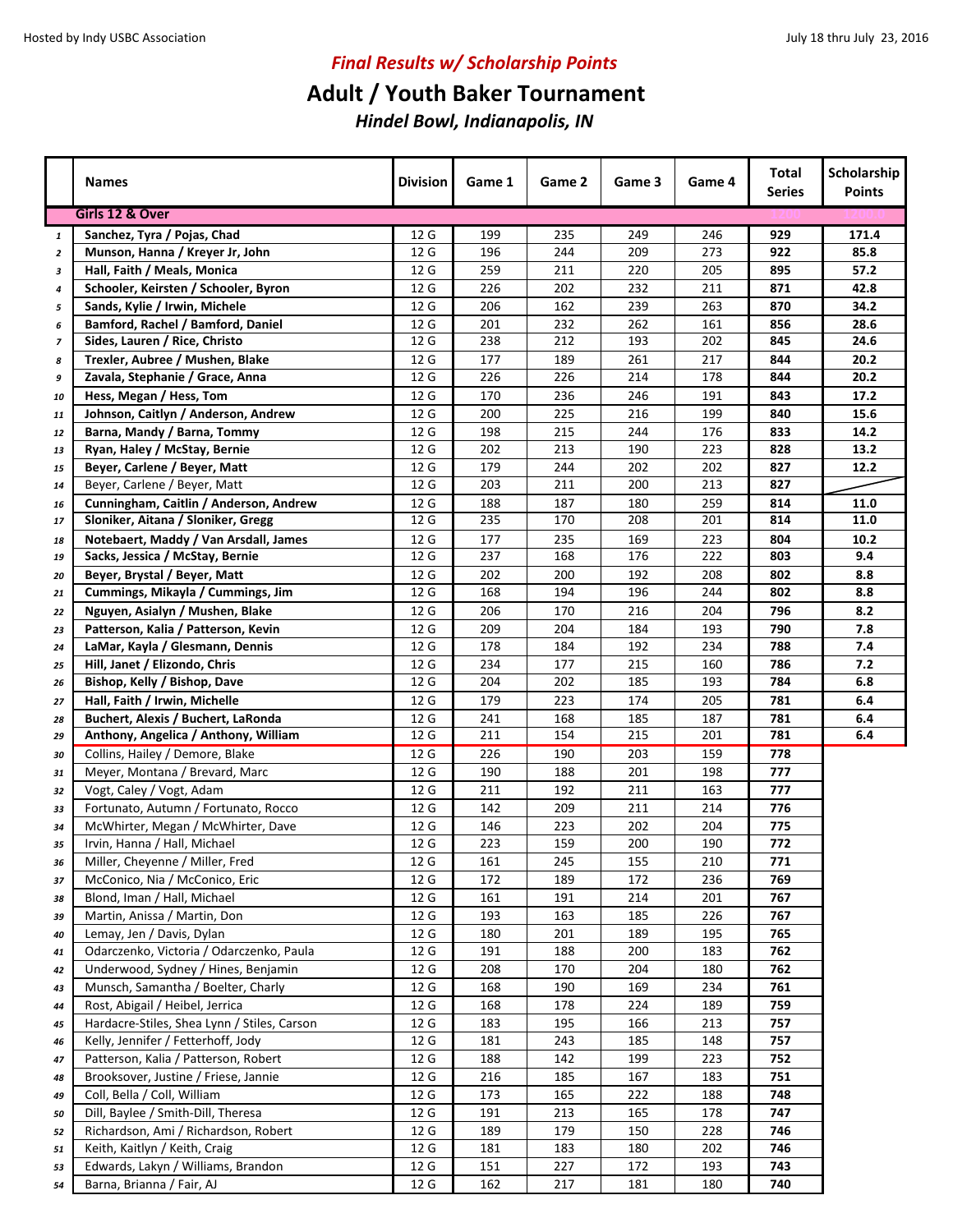## **Adult / Youth Baker Tournament**

|                | <b>Names</b>                                                               | <b>Division</b> | Game 1     | Game 2     | Game 3     | Game 4     | <b>Total</b><br><b>Series</b> | Scholarship<br><b>Points</b> |
|----------------|----------------------------------------------------------------------------|-----------------|------------|------------|------------|------------|-------------------------------|------------------------------|
|                | Girls 12 & Over                                                            |                 |            |            |            |            |                               |                              |
| $\mathbf{1}$   | Sanchez, Tyra / Pojas, Chad                                                | 12 G            | 199        | 235        | 249        | 246        | 929                           | 171.4                        |
| $\overline{2}$ | Munson, Hanna / Kreyer Jr, John                                            | 12 G            | 196        | 244        | 209        | 273        | 922                           | 85.8                         |
| 3              | Hall, Faith / Meals, Monica                                                | 12 G            | 259        | 211        | 220        | 205        | 895                           | 57.2                         |
| 4              | Schooler, Keirsten / Schooler, Byron                                       | 12 G            | 226        | 202        | 232        | 211        | 871                           | 42.8                         |
| 5              | Sands, Kylie / Irwin, Michele                                              | 12 G            | 206        | 162        | 239        | 263        | 870                           | 34.2                         |
| 6              | Bamford, Rachel / Bamford, Daniel                                          | 12 G            | 201        | 232        | 262        | 161        | 856                           | 28.6                         |
| 7              | Sides, Lauren / Rice, Christo                                              | 12 G            | 238        | 212        | 193        | 202        | 845                           | 24.6                         |
| 8              | Trexler, Aubree / Mushen, Blake                                            | 12 G            | 177        | 189        | 261        | 217        | 844                           | 20.2                         |
| 9              | Zavala, Stephanie / Grace, Anna                                            | 12 G            | 226        | 226        | 214        | 178        | 844                           | 20.2                         |
| 10             | Hess, Megan / Hess, Tom                                                    | 12 G            | 170        | 236        | 246        | 191        | 843                           | 17.2                         |
| 11             | Johnson, Caitlyn / Anderson, Andrew                                        | 12 G            | 200        | 225        | 216        | 199        | 840                           | 15.6                         |
| 12             | Barna, Mandy / Barna, Tommy                                                | 12 G            | 198        | 215        | 244        | 176        | 833                           | 14.2                         |
| 13             | Ryan, Haley / McStay, Bernie                                               | 12 G            | 202        | 213        | 190        | 223        | 828                           | 13.2                         |
| 15             | Beyer, Carlene / Beyer, Matt                                               | 12 G            | 179        | 244        | 202        | 202        | 827                           | 12.2                         |
| 14             | Beyer, Carlene / Beyer, Matt                                               | 12 G            | 203        | 211        | 200        | 213        | 827                           |                              |
| 16             | Cunningham, Caitlin / Anderson, Andrew                                     | 12 G            | 188        | 187        | 180        | 259        | 814                           | 11.0                         |
| 17             | Sloniker, Aitana / Sloniker, Gregg                                         | 12 G            | 235        | 170        | 208        | 201        | 814                           | 11.0                         |
| 18             | Notebaert, Maddy / Van Arsdall, James                                      | 12 G            | 177        | 235        | 169        | 223        | 804                           | 10.2                         |
| 19             | Sacks, Jessica / McStay, Bernie                                            | 12 G            | 237        | 168        | 176        | 222        | 803                           | 9.4                          |
| 20             | Beyer, Brystal / Beyer, Matt                                               | 12 G            | 202        | 200        | 192        | 208        | 802                           | 8.8                          |
| 21             | Cummings, Mikayla / Cummings, Jim                                          | 12 G            | 168        | 194        | 196        | 244        | 802                           | 8.8                          |
| 22             | Nguyen, Asialyn / Mushen, Blake                                            | 12 G            | 206        | 170        | 216        | 204        | 796                           | 8.2                          |
| 23             | Patterson, Kalia / Patterson, Kevin                                        | 12 G            | 209        | 204        | 184        | 193        | 790                           | 7.8                          |
| 24             | LaMar, Kayla / Glesmann, Dennis                                            | 12 G            | 178        | 184        | 192        | 234        | 788                           | 7.4                          |
| 25             | Hill, Janet / Elizondo, Chris                                              | 12 G            | 234        | 177        | 215        | 160        | 786                           | 7.2                          |
| 26             | Bishop, Kelly / Bishop, Dave                                               | 12 G            | 204        | 202        | 185        | 193        | 784                           | 6.8                          |
| 27             | Hall, Faith / Irwin, Michelle                                              | 12 G            | 179        | 223        | 174        | 205        | 781                           | 6.4                          |
| 28             | Buchert, Alexis / Buchert, LaRonda                                         | 12 G            | 241        | 168        | 185        | 187        | 781                           | 6.4                          |
| 29             | Anthony, Angelica / Anthony, William                                       | 12 G            | 211        | 154        | 215        | 201        | 781                           | 6.4                          |
| 30             | Collins, Hailey / Demore, Blake                                            | 12 G            | 226        | 190        | 203        | 159        | 778                           |                              |
| 31             | Meyer, Montana / Brevard, Marc                                             | 12 G            | 190        | 188        | 201        | 198        | 777                           |                              |
| 32             | Vogt, Caley / Vogt, Adam                                                   | 12 G            | 211        | 192        | 211        | 163        | 777                           |                              |
| 33             | Fortunato, Autumn / Fortunato, Rocco                                       | 12 G            | 142        | 209        | 211        | 214        | 776                           |                              |
| 34             | McWhirter, Megan / McWhirter, Dave                                         | 12 G            | 146        | 223        | 202        | 204        | 775                           |                              |
| 35             | Irvin, Hanna / Hall, Michael                                               | 12 G            | 223        | 159        | 200        | 190        | 772                           |                              |
| 36             | Miller, Cheyenne / Miller, Fred                                            | 12 G            | 161        | 245        | 155        | 210        | 771                           |                              |
| 37             | McConico, Nia / McConico, Eric                                             | 12 G            | 172        | 189        | 172        | 236        | 769                           |                              |
| 38             | Blond, Iman / Hall, Michael                                                | 12 G            | 161        | 191        | 214        | 201        | 767                           |                              |
| 39             | Martin, Anissa / Martin, Don                                               | 12 G            | 193        | 163        | 185        | 226        | 767                           |                              |
| 40             | Lemay, Jen / Davis, Dylan                                                  | 12 G            | 180        | 201        | 189        | 195        | 765                           |                              |
| 41             | Odarczenko, Victoria / Odarczenko, Paula                                   | 12 G            | 191        | 188        | 200        | 183        | 762                           |                              |
| 42             | Underwood, Sydney / Hines, Benjamin<br>Munsch, Samantha / Boelter, Charly  | 12 G<br>12 G    | 208<br>168 | 170<br>190 | 204<br>169 | 180<br>234 | 762<br>761                    |                              |
| 43             | Rost, Abigail / Heibel, Jerrica                                            | 12 G            | 168        | 178        | 224        | 189        | 759                           |                              |
| 44             |                                                                            |                 |            |            |            |            |                               |                              |
| 45             | Hardacre-Stiles, Shea Lynn / Stiles, Carson                                | 12 G            | 183        | 195        | 166        | 213        | 757                           |                              |
| 46             | Kelly, Jennifer / Fetterhoff, Jody                                         | 12 G            | 181        | 243        | 185        | 148        | 757                           |                              |
| 47             | Patterson, Kalia / Patterson, Robert                                       | 12 G            | 188        | 142        | 199        | 223        | 752                           |                              |
| 48             | Brooksover, Justine / Friese, Jannie<br>Coll, Bella / Coll, William        | 12 G<br>12 G    | 216<br>173 | 185<br>165 | 167<br>222 | 183<br>188 | 751<br>748                    |                              |
| 49             |                                                                            | 12 G            | 191        | 213        | 165        | 178        | 747                           |                              |
| 50             | Dill, Baylee / Smith-Dill, Theresa<br>Richardson, Ami / Richardson, Robert | 12 G            | 189        | 179        | 150        | 228        | 746                           |                              |
| 52             | Keith, Kaitlyn / Keith, Craig                                              | 12 G            | 181        | 183        | 180        | 202        | 746                           |                              |
| 51             | Edwards, Lakyn / Williams, Brandon                                         | 12 G            | 151        | 227        | 172        | 193        | 743                           |                              |
| 53<br>54       | Barna, Brianna / Fair, AJ                                                  | 12 G            | 162        | 217        | 181        | 180        | 740                           |                              |
|                |                                                                            |                 |            |            |            |            |                               |                              |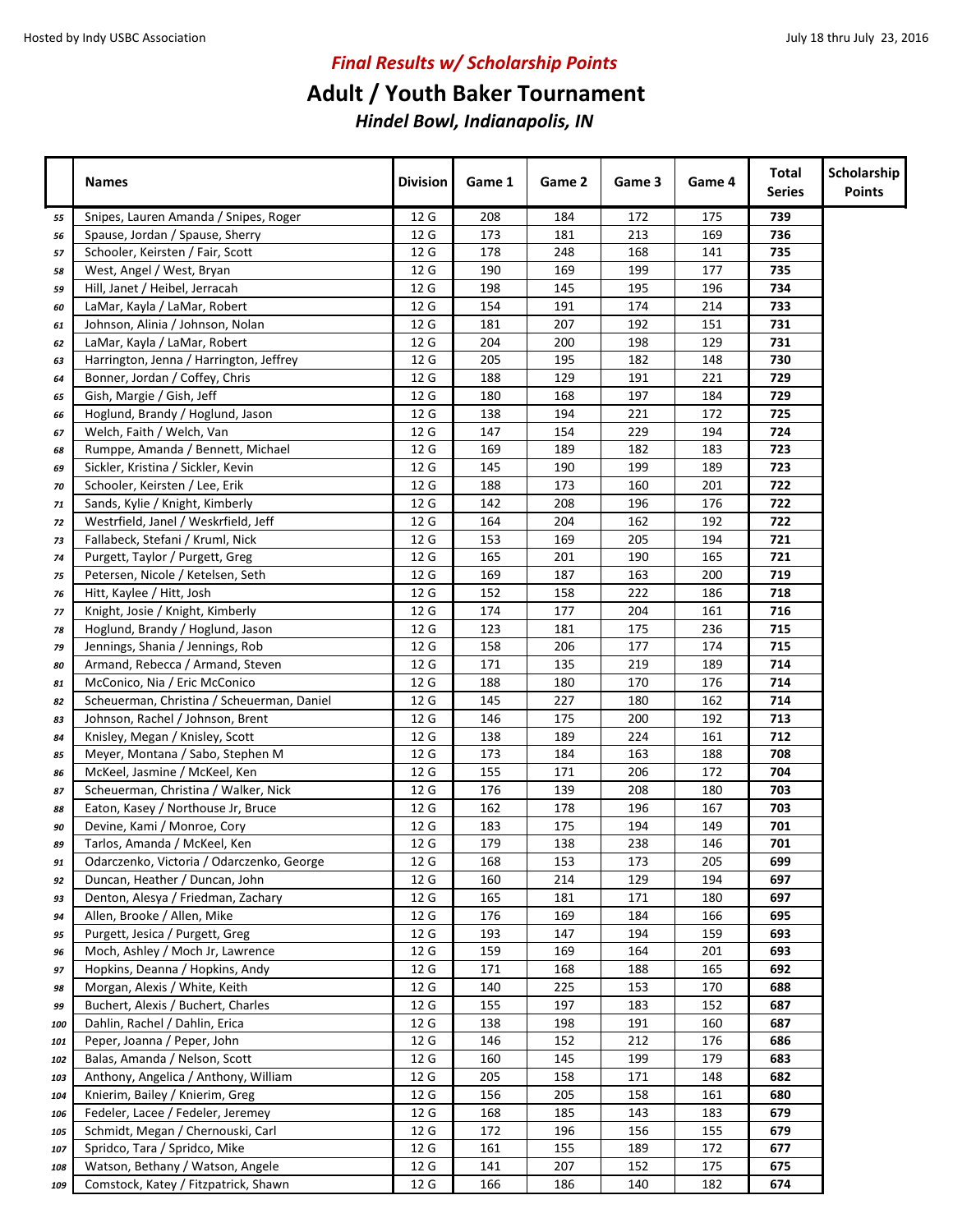## **Adult / Youth Baker Tournament**

|     | <b>Names</b>                               | <b>Division</b> | Game 1 | Game 2 | Game 3 | Game 4 | Total<br><b>Series</b> | Scholarship<br><b>Points</b> |
|-----|--------------------------------------------|-----------------|--------|--------|--------|--------|------------------------|------------------------------|
| 55  | Snipes, Lauren Amanda / Snipes, Roger      | 12 G            | 208    | 184    | 172    | 175    | 739                    |                              |
| 56  | Spause, Jordan / Spause, Sherry            | 12 G            | 173    | 181    | 213    | 169    | 736                    |                              |
| 57  | Schooler, Keirsten / Fair, Scott           | 12 G            | 178    | 248    | 168    | 141    | 735                    |                              |
| 58  | West, Angel / West, Bryan                  | 12 G            | 190    | 169    | 199    | 177    | 735                    |                              |
| 59  | Hill, Janet / Heibel, Jerracah             | 12 G            | 198    | 145    | 195    | 196    | 734                    |                              |
| 60  | LaMar, Kayla / LaMar, Robert               | 12 G            | 154    | 191    | 174    | 214    | 733                    |                              |
| 61  | Johnson, Alinia / Johnson, Nolan           | 12 G            | 181    | 207    | 192    | 151    | 731                    |                              |
| 62  | LaMar, Kayla / LaMar, Robert               | 12 G            | 204    | 200    | 198    | 129    | 731                    |                              |
| 63  | Harrington, Jenna / Harrington, Jeffrey    | 12 G            | 205    | 195    | 182    | 148    | 730                    |                              |
| 64  | Bonner, Jordan / Coffey, Chris             | 12 G            | 188    | 129    | 191    | 221    | 729                    |                              |
| 65  | Gish, Margie / Gish, Jeff                  | 12 G            | 180    | 168    | 197    | 184    | 729                    |                              |
| 66  | Hoglund, Brandy / Hoglund, Jason           | 12 G            | 138    | 194    | 221    | 172    | 725                    |                              |
| 67  | Welch, Faith / Welch, Van                  | 12 G            | 147    | 154    | 229    | 194    | 724                    |                              |
| 68  | Rumppe, Amanda / Bennett, Michael          | 12 G            | 169    | 189    | 182    | 183    | 723                    |                              |
| 69  | Sickler, Kristina / Sickler, Kevin         | 12 G            | 145    | 190    | 199    | 189    | 723                    |                              |
| 70  | Schooler, Keirsten / Lee, Erik             | 12 G            | 188    | 173    | 160    | 201    | 722                    |                              |
| 71  | Sands, Kylie / Knight, Kimberly            | 12 G            | 142    | 208    | 196    | 176    | 722                    |                              |
| 72  | Westrfield, Janel / Weskrfield, Jeff       | 12 G            | 164    | 204    | 162    | 192    | 722                    |                              |
| 73  | Fallabeck, Stefani / Kruml, Nick           | 12 G            | 153    | 169    | 205    | 194    | 721                    |                              |
| 74  | Purgett, Taylor / Purgett, Greg            | 12 G            | 165    | 201    | 190    | 165    | 721                    |                              |
| 75  | Petersen, Nicole / Ketelsen, Seth          | 12 G            | 169    | 187    | 163    | 200    | 719                    |                              |
| 76  | Hitt, Kaylee / Hitt, Josh                  | 12 G            | 152    | 158    | 222    | 186    | 718                    |                              |
| 77  | Knight, Josie / Knight, Kimberly           | 12 G            | 174    | 177    | 204    | 161    | 716                    |                              |
| 78  | Hoglund, Brandy / Hoglund, Jason           | 12 G            | 123    | 181    | 175    | 236    | 715                    |                              |
| 79  | Jennings, Shania / Jennings, Rob           | 12 G            | 158    | 206    | 177    | 174    | 715                    |                              |
| 80  | Armand, Rebecca / Armand, Steven           | 12 G            | 171    | 135    | 219    | 189    | 714                    |                              |
| 81  | McConico, Nia / Eric McConico              | 12 G            | 188    | 180    | 170    | 176    | 714                    |                              |
| 82  | Scheuerman, Christina / Scheuerman, Daniel | 12 G            | 145    | 227    | 180    | 162    | 714                    |                              |
| 83  | Johnson, Rachel / Johnson, Brent           | 12 G            | 146    | 175    | 200    | 192    | 713                    |                              |
| 84  | Knisley, Megan / Knisley, Scott            | 12 G            | 138    | 189    | 224    | 161    | 712                    |                              |
| 85  | Meyer, Montana / Sabo, Stephen M           | 12 G            | 173    | 184    | 163    | 188    | 708                    |                              |
| 86  | McKeel, Jasmine / McKeel, Ken              | 12 G            | 155    | 171    | 206    | 172    | 704                    |                              |
| 87  | Scheuerman, Christina / Walker, Nick       | 12 G            | 176    | 139    | 208    | 180    | 703                    |                              |
| 88  | Eaton, Kasey / Northouse Jr, Bruce         | 12 G            | 162    | 178    | 196    | 167    | 703                    |                              |
| 90  | Devine, Kami / Monroe, Cory                | 12 G            | 183    | 175    | 194    | 149    | 701                    |                              |
| 89  | Tarlos, Amanda / McKeel, Ken               | 12 G            | 179    | 138    | 238    | 146    | 701                    |                              |
| 91  | Odarczenko, Victoria / Odarczenko, George  | 12 G            | 168    | 153    | 173    | 205    | 699                    |                              |
| 92  | Duncan, Heather / Duncan, John             | 12 G            | 160    | 214    | 129    | 194    | 697                    |                              |
| 93  | Denton, Alesya / Friedman, Zachary         | 12 G            | 165    | 181    | 171    | 180    | 697                    |                              |
| 94  | Allen, Brooke / Allen, Mike                | 12 G            | 176    | 169    | 184    | 166    | 695                    |                              |
| 95  | Purgett, Jesica / Purgett, Greg            | 12 G            | 193    | 147    | 194    | 159    | 693                    |                              |
| 96  | Moch, Ashley / Moch Jr, Lawrence           | 12 G            | 159    | 169    | 164    | 201    | 693                    |                              |
| 97  | Hopkins, Deanna / Hopkins, Andy            | 12 G            | 171    | 168    | 188    | 165    | 692                    |                              |
| 98  | Morgan, Alexis / White, Keith              | 12 G            | 140    | 225    | 153    | 170    | 688                    |                              |
| 99  | Buchert, Alexis / Buchert, Charles         | 12 G            | 155    | 197    | 183    | 152    | 687                    |                              |
| 100 | Dahlin, Rachel / Dahlin, Erica             | 12 G            | 138    | 198    | 191    | 160    | 687                    |                              |
| 101 | Peper, Joanna / Peper, John                | 12 G            | 146    | 152    | 212    | 176    | 686                    |                              |
| 102 | Balas, Amanda / Nelson, Scott              | 12 G            | 160    | 145    | 199    | 179    | 683                    |                              |
| 103 | Anthony, Angelica / Anthony, William       | 12 G            | 205    | 158    | 171    | 148    | 682                    |                              |
| 104 | Knierim, Bailey / Knierim, Greg            | 12 G            | 156    | 205    | 158    | 161    | 680                    |                              |
| 106 | Fedeler, Lacee / Fedeler, Jeremey          | 12 G            | 168    | 185    | 143    | 183    | 679                    |                              |
| 105 | Schmidt, Megan / Chernouski, Carl          | 12 G            | 172    | 196    | 156    | 155    | 679                    |                              |
| 107 | Spridco, Tara / Spridco, Mike              | 12 G            | 161    | 155    | 189    | 172    | 677                    |                              |
| 108 | Watson, Bethany / Watson, Angele           | 12 G            | 141    | 207    | 152    | 175    | 675                    |                              |
| 109 | Comstock, Katey / Fitzpatrick, Shawn       | 12 G            | 166    | 186    | 140    | 182    | 674                    |                              |